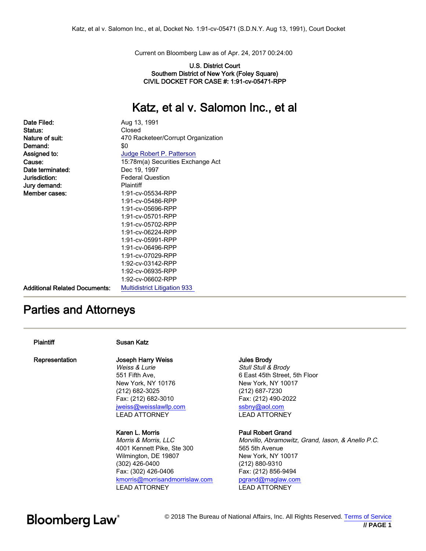Current on Bloomberg Law as of Apr. 24, 2017 00:24:00

#### U.S. District Court Southern District of New York (Foley Square) CIVIL DOCKET FOR CASE #: 1:91-cv-05471-RPP

### Katz, et al v. Salomon Inc., et al

| Date Filed:                          | Aug 13, 1991                        |
|--------------------------------------|-------------------------------------|
| Status:                              | Closed                              |
| Nature of suit:                      | 470 Racketeer/Corrupt Organization  |
| Demand:                              | \$0                                 |
| Assigned to:                         | Judge Robert P. Patterson           |
| Cause:                               | 15:78m(a) Securities Exchange Act   |
| Date terminated:                     | Dec 19, 1997                        |
| Jurisdiction:                        | <b>Federal Question</b>             |
| Jury demand:                         | Plaintiff                           |
| Member cases:                        | 1:91-cv-05534-RPP                   |
|                                      | 1:91-cv-05486-RPP                   |
|                                      | 1:91-cv-05696-RPP                   |
|                                      | 1:91-cv-05701-RPP                   |
|                                      | 1:91-cv-05702-RPP                   |
|                                      | 1:91-cv-06224-RPP                   |
|                                      | 1:91-cv-05991-RPP                   |
|                                      | 1:91-cv-06496-RPP                   |
|                                      | 1:91-cv-07029-RPP                   |
|                                      | 1:92-cv-03142-RPP                   |
|                                      | 1:92-cv-06935-RPP                   |
|                                      | 1:92-cv-06602-RPP                   |
| <b>Additional Related Documents:</b> | <b>Multidistrict Litigation 933</b> |

### Parties and Attorneys

### Plaintiff Susan Katz

Representation Joseph Harry Weiss

Weiss & Lurie 551 Fifth Ave, New York, NY 10176 (212) 682-3025 Fax: (212) 682-3010 [jweiss@weisslawllp.com](mailto:jweiss@weisslawllp.com) LEAD ATTORNEY

Karen L. Morris Morris & Morris, LLC 4001 Kennett Pike, Ste 300 Wilmington, DE 19807 (302) 426-0400 Fax: (302) 426-0406 [kmorris@morrisandmorrislaw.com](mailto:kmorris@morrisandmorrislaw.com) LEAD ATTORNEY

#### Jules Brody

Stull Stull & Brody 6 East 45th Street, 5th Floor New York, NY 10017 (212) 687-7230 Fax: (212) 490-2022 [ssbny@aol.com](mailto:ssbny@aol.com) LEAD ATTORNEY

### Paul Robert Grand

Morvillo, Abramowitz, Grand, Iason, & Anello P.C. 565 5th Avenue New York, NY 10017 (212) 880-9310 Fax: (212) 856-9494 [pgrand@maglaw.com](mailto:pgrand@maglaw.com) LEAD ATTORNEY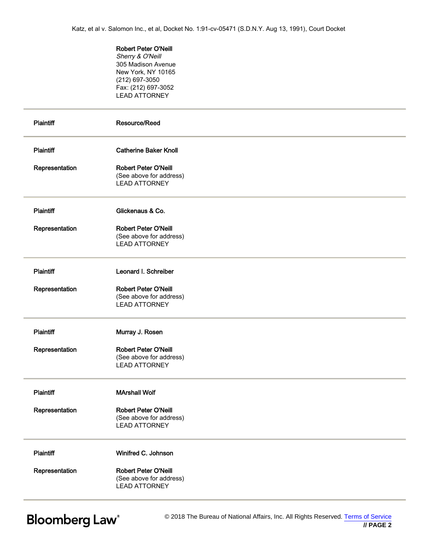Robert Peter O'Neill Sherry & O'Neill 305 Madison Avenue New York, NY 10165 (212) 697-3050 Fax: (212) 697-3052 LEAD ATTORNEY

| <b>Plaintiff</b> | Resource/Reed                                                                  |  |
|------------------|--------------------------------------------------------------------------------|--|
| Plaintiff        | <b>Catherine Baker Knoll</b>                                                   |  |
| Representation   | <b>Robert Peter O'Neill</b><br>(See above for address)<br><b>LEAD ATTORNEY</b> |  |
| <b>Plaintiff</b> | Glickenaus & Co.                                                               |  |
| Representation   | <b>Robert Peter O'Neill</b><br>(See above for address)<br><b>LEAD ATTORNEY</b> |  |
| <b>Plaintiff</b> | Leonard I. Schreiber                                                           |  |
| Representation   | <b>Robert Peter O'Neill</b><br>(See above for address)<br><b>LEAD ATTORNEY</b> |  |
| Plaintiff        | Murray J. Rosen                                                                |  |
| Representation   | Robert Peter O'Neill<br>(See above for address)<br><b>LEAD ATTORNEY</b>        |  |
| <b>Plaintiff</b> | <b>MArshall Wolf</b>                                                           |  |
| Representation   | <b>Robert Peter O'Neill</b><br>(See above for address)<br><b>LEAD ATTORNEY</b> |  |
| Plaintiff        | Winifred C. Johnson                                                            |  |
| Representation   | <b>Robert Peter O'Neill</b><br>(See above for address)<br><b>LEAD ATTORNEY</b> |  |

**Bloomberg Law®**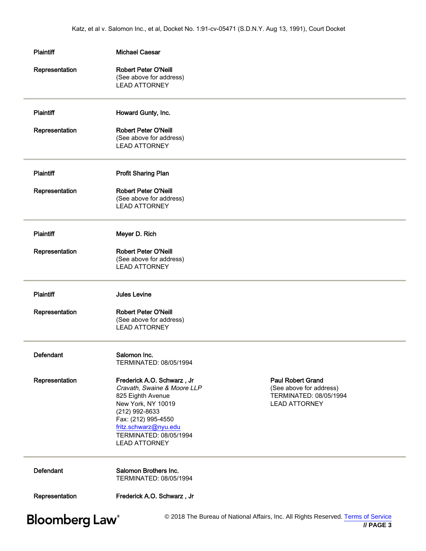| <b>Plaintiff</b><br><b>Michael Caesar</b> |                                                                                                                                                                                                                          |                                                                                                       |
|-------------------------------------------|--------------------------------------------------------------------------------------------------------------------------------------------------------------------------------------------------------------------------|-------------------------------------------------------------------------------------------------------|
| Representation                            | <b>Robert Peter O'Neill</b><br>(See above for address)<br><b>LEAD ATTORNEY</b>                                                                                                                                           |                                                                                                       |
| <b>Plaintiff</b>                          | Howard Gunty, Inc.                                                                                                                                                                                                       |                                                                                                       |
| Representation                            | <b>Robert Peter O'Neill</b><br>(See above for address)<br><b>LEAD ATTORNEY</b>                                                                                                                                           |                                                                                                       |
| <b>Plaintiff</b>                          | <b>Profit Sharing Plan</b>                                                                                                                                                                                               |                                                                                                       |
| Representation                            | <b>Robert Peter O'Neill</b><br>(See above for address)<br><b>LEAD ATTORNEY</b>                                                                                                                                           |                                                                                                       |
| <b>Plaintiff</b>                          | Meyer D. Rich                                                                                                                                                                                                            |                                                                                                       |
| Representation                            | <b>Robert Peter O'Neill</b><br>(See above for address)<br><b>LEAD ATTORNEY</b>                                                                                                                                           |                                                                                                       |
| <b>Plaintiff</b>                          | <b>Jules Levine</b>                                                                                                                                                                                                      |                                                                                                       |
| Representation                            | <b>Robert Peter O'Neill</b><br>(See above for address)<br><b>LEAD ATTORNEY</b>                                                                                                                                           |                                                                                                       |
| <b>Defendant</b>                          | Salomon Inc.<br>TERMINATED: 08/05/1994                                                                                                                                                                                   |                                                                                                       |
| Representation                            | Frederick A.O. Schwarz, Jr<br>Cravath, Swaine & Moore LLP<br>825 Eighth Avenue<br>New York, NY 10019<br>(212) 992-8633<br>Fax: (212) 995-4550<br>fritz.schwarz@nyu.edu<br>TERMINATED: 08/05/1994<br><b>LEAD ATTORNEY</b> | <b>Paul Robert Grand</b><br>(See above for address)<br>TERMINATED: 08/05/1994<br><b>LEAD ATTORNEY</b> |
|                                           |                                                                                                                                                                                                                          |                                                                                                       |
| <b>Defendant</b>                          | Salomon Brothers Inc.<br>TERMINATED: 08/05/1994                                                                                                                                                                          |                                                                                                       |

 **// PAGE 3**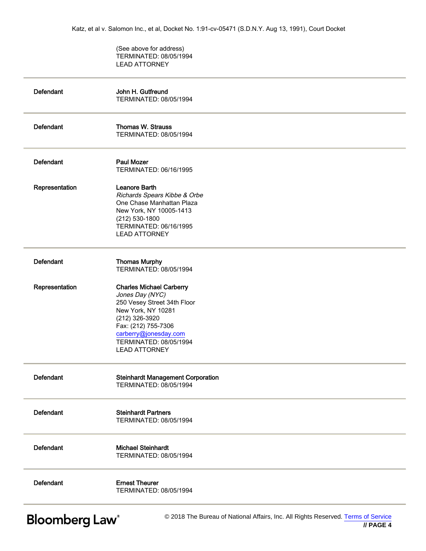(See above for address) TERMINATED: 08/05/1994 LEAD ATTORNEY

| <b>Defendant</b> | John H. Gutfreund<br>TERMINATED: 08/05/1994                                                                                                                                                                                 |
|------------------|-----------------------------------------------------------------------------------------------------------------------------------------------------------------------------------------------------------------------------|
| <b>Defendant</b> | <b>Thomas W. Strauss</b><br>TERMINATED: 08/05/1994                                                                                                                                                                          |
| <b>Defendant</b> | <b>Paul Mozer</b><br>TERMINATED: 06/16/1995                                                                                                                                                                                 |
| Representation   | <b>Leanore Barth</b><br>Richards Spears Kibbe & Orbe<br>One Chase Manhattan Plaza<br>New York, NY 10005-1413<br>$(212) 530 - 1800$<br>TERMINATED: 06/16/1995<br><b>LEAD ATTORNEY</b>                                        |
| <b>Defendant</b> | <b>Thomas Murphy</b><br>TERMINATED: 08/05/1994                                                                                                                                                                              |
| Representation   | <b>Charles Michael Carberry</b><br>Jones Day (NYC)<br>250 Vesey Street 34th Floor<br>New York, NY 10281<br>(212) 326-3920<br>Fax: (212) 755-7306<br>carberry@jonesday.com<br>TERMINATED: 08/05/1994<br><b>LEAD ATTORNEY</b> |
| <b>Defendant</b> | <b>Steinhardt Management Corporation</b><br>TERMINATED: 08/05/1994                                                                                                                                                          |
| <b>Defendant</b> | <b>Steinhardt Partners</b><br>TERMINATED: 08/05/1994                                                                                                                                                                        |
| <b>Defendant</b> | <b>Michael Steinhardt</b><br>TERMINATED: 08/05/1994                                                                                                                                                                         |
| <b>Defendant</b> | <b>Ernest Theurer</b><br>TERMINATED: 08/05/1994                                                                                                                                                                             |
|                  |                                                                                                                                                                                                                             |

**Bloomberg Law®**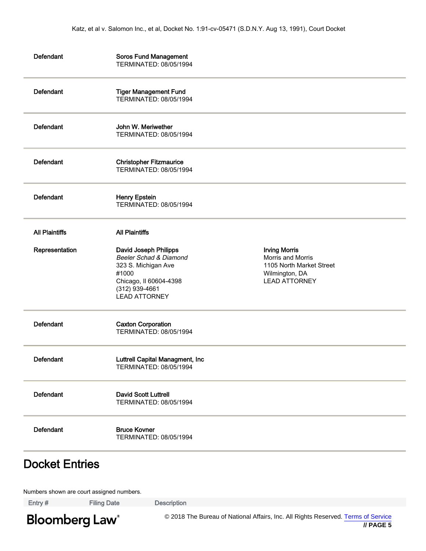| <b>Defendant</b>      | <b>Soros Fund Management</b><br>TERMINATED: 08/05/1994                                                                                              |                                                                                                                 |  |
|-----------------------|-----------------------------------------------------------------------------------------------------------------------------------------------------|-----------------------------------------------------------------------------------------------------------------|--|
| Defendant             | <b>Tiger Management Fund</b><br>TERMINATED: 08/05/1994                                                                                              |                                                                                                                 |  |
| <b>Defendant</b>      | John W. Meriwether<br>TERMINATED: 08/05/1994                                                                                                        |                                                                                                                 |  |
| Defendant             | <b>Christopher Fitzmaurice</b><br>TERMINATED: 08/05/1994                                                                                            |                                                                                                                 |  |
| Defendant             | <b>Henry Epstein</b><br>TERMINATED: 08/05/1994                                                                                                      |                                                                                                                 |  |
| <b>All Plaintiffs</b> | <b>All Plaintiffs</b>                                                                                                                               |                                                                                                                 |  |
| Representation        | David Joseph Philipps<br>Beeler Schad & Diamond<br>323 S. Michigan Ave<br>#1000<br>Chicago, II 60604-4398<br>(312) 939-4661<br><b>LEAD ATTORNEY</b> | <b>Irving Morris</b><br>Morris and Morris<br>1105 North Market Street<br>Wilmington, DA<br><b>LEAD ATTORNEY</b> |  |
| Defendant             | <b>Caxton Corporation</b><br>TERMINATED: 08/05/1994                                                                                                 |                                                                                                                 |  |
| Defendant             | Luttrell Capital Managment, Inc<br>TERMINATED: 08/05/1994                                                                                           |                                                                                                                 |  |
| <b>Defendant</b>      | <b>David Scott Luttrell</b><br>TERMINATED: 08/05/1994                                                                                               |                                                                                                                 |  |
| Defendant             | <b>Bruce Kovner</b><br>TERMINATED: 08/05/1994                                                                                                       |                                                                                                                 |  |

### Docket Entries

Numbers shown are court assigned numbers.

Entry # Filing Date Description

**Bloomberg Law**<sup>®</sup>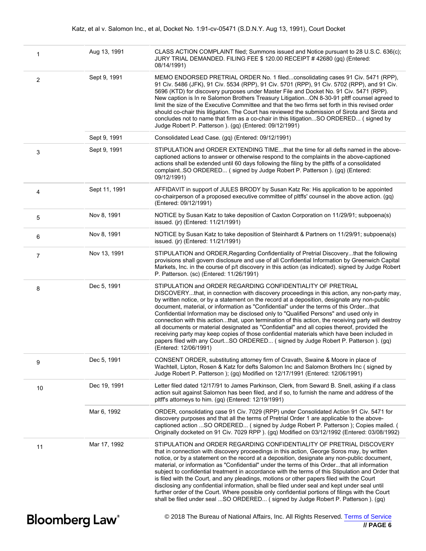| 1                                 | Aug 13, 1991  | CLASS ACTION COMPLAINT filed; Summons issued and Notice pursuant to 28 U.S.C. 636(c);<br>JURY TRIAL DEMANDED. FILING FEE \$120.00 RECEIPT #42680 (gq) (Entered:<br>08/14/1991)                                                                                                                                                                                                                                                                                                                                                                                                                                                                                                                                                                                                                                                                                   |
|-----------------------------------|---------------|------------------------------------------------------------------------------------------------------------------------------------------------------------------------------------------------------------------------------------------------------------------------------------------------------------------------------------------------------------------------------------------------------------------------------------------------------------------------------------------------------------------------------------------------------------------------------------------------------------------------------------------------------------------------------------------------------------------------------------------------------------------------------------------------------------------------------------------------------------------|
| $\overline{2}$                    | Sept 9, 1991  | MEMO ENDORSED PRETRIAL ORDER No. 1 filedconsolidating cases 91 Civ. 5471 (RPP),<br>91 Civ. 5486 (JFK), 91 Civ. 5534 (RPP), 91 Civ. 5701 (RPP), 91 Civ. 5702 (RPP), and 91 Civ.<br>5696 (KTD) for discovery purposes under Master File and Docket No. 91 Civ. 5471 (RPP).<br>New caption is In re Salomon Brothers Treasury LitigationON 8-30-91 pltff counsel agreed to<br>limit the size of the Executive Committee and that the two firms set forth in this revised order<br>should co-chair this litigation. The Court has reviewed the submission of Sirota and Sirota and<br>concludes not to name that firm as a co-chair in this litigationSO ORDERED (signed by<br>Judge Robert P. Patterson ). (gq) (Entered: 09/12/1991)                                                                                                                               |
|                                   | Sept 9, 1991  | Consolidated Lead Case. (gq) (Entered: 09/12/1991)                                                                                                                                                                                                                                                                                                                                                                                                                                                                                                                                                                                                                                                                                                                                                                                                               |
| 3                                 | Sept 9, 1991  | STIPULATION and ORDER EXTENDING TIMEthat the time for all defts named in the above-<br>captioned actions to answer or otherwise respond to the complaints in the above-captioned<br>actions shall be extended until 60 days following the filing by the pltffs of a consolidated<br>complaintSO ORDERED (signed by Judge Robert P. Patterson ). (gq) (Entered:<br>09/12/1991)                                                                                                                                                                                                                                                                                                                                                                                                                                                                                    |
| $\overline{4}$                    | Sept 11, 1991 | AFFIDAVIT in support of JULES BRODY by Susan Katz Re: His application to be appointed<br>co-chairperson of a proposed executive committee of pltffs' counsel in the above action. (gq)<br>(Entered: 09/12/1991)                                                                                                                                                                                                                                                                                                                                                                                                                                                                                                                                                                                                                                                  |
| 5                                 | Nov 8, 1991   | NOTICE by Susan Katz to take deposition of Caxton Corporation on 11/29/91; subpoena(s)<br>issued. (ir) (Entered: 11/21/1991)                                                                                                                                                                                                                                                                                                                                                                                                                                                                                                                                                                                                                                                                                                                                     |
| 6                                 | Nov 8, 1991   | NOTICE by Susan Katz to take deposition of Steinhardt & Partners on 11/29/91; subpoena(s)<br>issued. (jr) (Entered: 11/21/1991)                                                                                                                                                                                                                                                                                                                                                                                                                                                                                                                                                                                                                                                                                                                                  |
| $\overline{7}$                    | Nov 13, 1991  | STIPULATION and ORDER, Regarding Confidentiality of Pretrial Discoverythat the following<br>provisions shall govern disclosure and use of all Confidential Information by Greenwich Capital<br>Markets, Inc. in the course of p/t discovery in this action (as indicated). signed by Judge Robert<br>P. Patterson. (sc) (Entered: 11/26/1991)                                                                                                                                                                                                                                                                                                                                                                                                                                                                                                                    |
| 8                                 | Dec 5, 1991   | STIPULATION and ORDER REGARDING CONFIDENTIALITY OF PRETRIAL<br>DISCOVERYthat, in connection with discovery proceedings in this action, any non-party may,<br>by written notice, or by a statement on the record at a deposition, designate any non-public<br>document, material, or information as "Confidential" under the terms of this Orderthat<br>Confidential Information may be disclosed only to "Qualified Persons" and used only in<br>connection with this actionthat, upon termination of this action, the receiving party will destroy<br>all documents or material designated as "Confidential" and all copies thereof, provided the<br>receiving party may keep copies of those confidential materials which have been included in<br>papers filed with any CourtSO ORDERED (signed by Judge Robert P. Patterson ). (gq)<br>(Entered: 12/06/1991) |
| 9                                 | Dec 5, 1991   | CONSENT ORDER, substituting attorney firm of Cravath, Swaine & Moore in place of<br>Wachtell, Lipton, Rosen & Katz for defts Salomon Inc and Salomon Brothers Inc (signed by<br>Judge Robert P. Patterson ); (gg) Modified on 12/17/1991 (Entered: 12/06/1991)                                                                                                                                                                                                                                                                                                                                                                                                                                                                                                                                                                                                   |
| 10                                | Dec 19, 1991  | Letter filed dated 12/17/91 to James Parkinson, Clerk, from Seward B. Snell, asking if a class<br>action suit against Salomon has been filed, and if so, to furnish the name and address of the<br>pltff's attorneys to him. (gq) (Entered: 12/19/1991)                                                                                                                                                                                                                                                                                                                                                                                                                                                                                                                                                                                                          |
|                                   | Mar 6, 1992   | ORDER, consolidating case 91 Civ. 7029 (RPP) under Consolidated Action 91 Civ. 5471 for<br>discovery purposes and that all the terms of Pretrial Order 1 are applicable to the above-<br>captioned action SO ORDERED (signed by Judge Robert P. Patterson); Copies mailed. (<br>Originally docketed on 91 Civ. 7029 RPP). (gq) Modified on 03/12/1992 (Entered: 03/08/1992)                                                                                                                                                                                                                                                                                                                                                                                                                                                                                      |
| 11                                | Mar 17, 1992  | STIPULATION and ORDER REGARDING CONFIDENTIALITY OF PRETRIAL DISCOVERY<br>that in connection with discovery proceedings in this action, George Soros may, by written<br>notice, or by a statement on the record at a deposition, designate any non-public document,<br>material, or information as "Confidential" under the terms of this Orderthat all information<br>subject to confidential treatment in accordance with the terms of this Stipulation and Order that<br>is filed with the Court, and any pleadings, motions or other papers filed with the Court<br>disclosing any confidential information, shall be filed under seal and kept under seal until<br>further order of the Court. Where possible only confidential portions of filings with the Court<br>shall be filed under seal SO ORDERED (signed by Judge Robert P. Patterson ). (gq)      |
| <b>Bloomberg Law</b> <sup>®</sup> |               | © 2018 The Bureau of National Affairs, Inc. All Rights Reserved. Terms of Service<br>// PAGE 6                                                                                                                                                                                                                                                                                                                                                                                                                                                                                                                                                                                                                                                                                                                                                                   |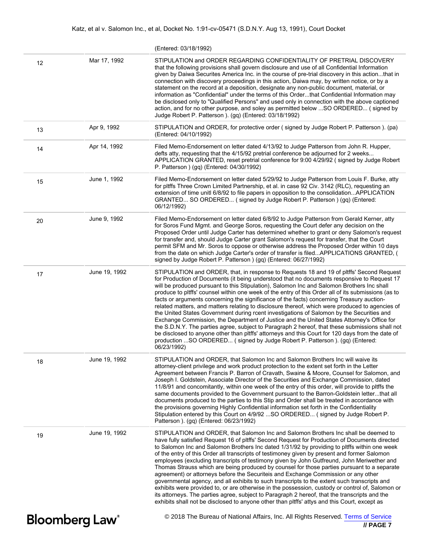|                                   |               | (Entered: 03/18/1992)                                                                                                                                                                                                                                                                                                                                                                                                                                                                                                                                                                                                                                                                                                                                                                                                                                                                                                                                                                                                                                                                         |
|-----------------------------------|---------------|-----------------------------------------------------------------------------------------------------------------------------------------------------------------------------------------------------------------------------------------------------------------------------------------------------------------------------------------------------------------------------------------------------------------------------------------------------------------------------------------------------------------------------------------------------------------------------------------------------------------------------------------------------------------------------------------------------------------------------------------------------------------------------------------------------------------------------------------------------------------------------------------------------------------------------------------------------------------------------------------------------------------------------------------------------------------------------------------------|
| 12                                | Mar 17, 1992  | STIPULATION and ORDER REGARDING CONFIDENTIALITY OF PRETRIAL DISCOVERY<br>that the following provisions shall govern disclosure and use of all Confidential Information<br>given by Daiwa Securites America Inc. in the course of pre-trial discovery in this actionthat in<br>connection with discovery proceedings in this action, Daiwa may, by written notice, or by a<br>statement on the record at a deposition, designate any non-public document, material, or<br>information as "Confidential" under the terms of this Orderthat Confidential Information may<br>be disclosed only to "Qualified Persons" and used only in connection with the above captioned<br>action, and for no other purpose, and soley as permitted below  SO ORDERED (signed by<br>Judge Robert P. Patterson ). (gq) (Entered: 03/18/1992)                                                                                                                                                                                                                                                                    |
| 13                                | Apr 9, 1992   | STIPULATION and ORDER, for protective order (signed by Judge Robert P. Patterson). (pa)<br>(Entered: 04/10/1992)                                                                                                                                                                                                                                                                                                                                                                                                                                                                                                                                                                                                                                                                                                                                                                                                                                                                                                                                                                              |
| 14                                | Apr 14, 1992  | Filed Memo-Endorsement on letter dated 4/13/92 to Judge Patterson from John R. Hupper,<br>defts atty, requesting that the 4/15/92 pretrial conference be adjourned for 2 weeks<br>APPLICATION GRANTED, reset pretrial conference for 9:00 4/29/92 (signed by Judge Robert<br>P. Patterson ) (gq) (Entered: 04/30/1992)                                                                                                                                                                                                                                                                                                                                                                                                                                                                                                                                                                                                                                                                                                                                                                        |
| 15                                | June 1, 1992  | Filed Memo-Endorsement on letter dated 5/29/92 to Judge Patterson from Louis F. Burke, atty<br>for pltffs Three Crown Limited Partnership, et al. in case 92 Civ. 3142 (RLC), requesting an<br>extension of time unitl 6/8/92 to file papers in opposition to the consolidationAPPLICATION<br>GRANTED SO ORDERED (signed by Judge Robert P. Patterson) (gq) (Entered:<br>06/12/1992)                                                                                                                                                                                                                                                                                                                                                                                                                                                                                                                                                                                                                                                                                                          |
| 20                                | June 9, 1992  | Filed Memo-Endorsement on letter dated 6/8/92 to Judge Patterson from Gerald Kerner, atty<br>for Soros Fund Mgmt. and George Soros, requesting the Court defer any decision on the<br>Proposed Order until Judge Carter has determined whether to grant or deny Salomon's request<br>for transfer and, should Judge Carter grant Salomon's request for transfer, that the Court<br>permit SFM and Mr. Soros to oppose or otherwise address the Proposed Order within 10 days<br>from the date on which Judge Carter's order of transfer is filedAPPLICATIONS GRANTED, (<br>signed by Judge Robert P. Patterson ) (gq) (Entered: 06/27/1992)                                                                                                                                                                                                                                                                                                                                                                                                                                                   |
| 17                                | June 19, 1992 | STIPULATION and ORDER, that, in response to Requests 18 and 19 of pltffs' Second Request<br>for Production of Documents (it being understood that no documents responsive to Request 17<br>will be produced pursuant to this Stipulation), Salomon Inc and Salomon Brothers Inc shall<br>produce to pltffs' counsel within one week of the entry of this Order all of its submissions (as to<br>facts or arguments concerning the significance of the facts) concerning Treasury auction-<br>related matters, and matters relating to disclosure thereof, which were produced to agencies of<br>the United States Government during rcent investigations of Salomon by the Securities and<br>Exchange Commission, the Department of Justice and the United States Attorney's Office for<br>the S.D.N.Y. The parties agree, subject to Paragraph 2 hereof, that these submissions shall not<br>be disclosed to anyone other than pltffs' attorneys and this Court for 120 days from the date of<br>production SO ORDERED (signed by Judge Robert P. Patterson ). (gq) (Entered:<br>06/23/1992) |
| 18                                | June 19, 1992 | STIPULATION and ORDER, that Salomon Inc and Salomon Brothers Inc will waive its<br>attorney-client privilege and work product protection to the extent set forth in the Letter<br>Agreement between Francis P. Barron of Cravath, Swaine & Moore, Counsel for Salomon, and<br>Joseph I. Goldstein, Associate Director of the Securities and Exchange Commission, dated<br>11/8/91 and concomitantly, within one week of the entry of this order, will provide to pltffs the<br>same documents provided to the Government pursuant to the Barron-Goldstein letterthat all<br>documents produced to the parties to this Stip and Order shall be treated in accordance with<br>the provisions governing Highly Confidential information set forth in the Confidentiality<br>Stipulation entered by this Court on 4/9/92  SO ORDERED (signed by Judge Robert P.<br>Patterson ). (gq) (Entered: 06/23/1992)                                                                                                                                                                                        |
| 19                                | June 19, 1992 | STIPULATION and ORDER, that Salomon Inc and Salomon Brothers Inc shall be deemed to<br>have fully satisfied Request 16 of pltffs' Second Request for Production of Documents directed<br>to Salomon Inc and Salomon Brothers Inc dated 1/31/92 by providing to pltffs within one week<br>of the entry of this Order all transcripts of testimoney given by present and former Salomon<br>employees (excluding transcripts of testimony given by John Gutfreund, John Meriwether and<br>Thomas Strauss which are being produced by counsel for those parties pursuant to a separate<br>agreement) or attorneys before the Securiteis and Exchange Commission or any other<br>governmental agency, and all exhibits to such transcripts to the extent such transcripts and<br>exhibits were provided to, or are otherwise in the possession, custody or control of, Salomon or<br>its attorneys. The parties agree, subject to Paragraph 2 hereof, that the transcripts and the<br>exhibits shall not be disclosed to anyone other than pltffs' attys and this Court, except as                 |
| <b>Bloomberg Law</b> <sup>®</sup> |               | © 2018 The Bureau of National Affairs, Inc. All Rights Reserved. Terms of Service<br>$II$ PAGE 7                                                                                                                                                                                                                                                                                                                                                                                                                                                                                                                                                                                                                                                                                                                                                                                                                                                                                                                                                                                              |

 **<sup>//</sup> PAGE 7**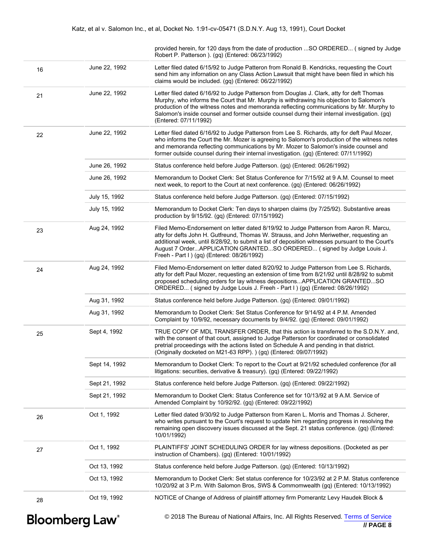provided herein, for 120 days from the date of production ...SO ORDERED... ( signed by Judge Robert P. Patterson ). (gq) (Entered: 06/23/1992)

|    | <b>Bloomberg Law</b> <sup>®</sup> | © 2018 The Bureau of National Affairs, Inc. All Rights Reserved. Terms of Service<br>$\theta$ PAGF 8                                                                                                                                                                                                                                                                                                          |
|----|-----------------------------------|---------------------------------------------------------------------------------------------------------------------------------------------------------------------------------------------------------------------------------------------------------------------------------------------------------------------------------------------------------------------------------------------------------------|
| 28 | Oct 19, 1992                      | NOTICE of Change of Address of plaintiff attorney firm Pomerantz Levy Haudek Block &                                                                                                                                                                                                                                                                                                                          |
|    | Oct 13, 1992                      | Memorandum to Docket Clerk: Set status conference for 10/23/92 at 2 P.M. Status conference<br>10/20/92 at 3 P.m. With Salomon Bros, SWS & Commomwealth (gq) (Entered: 10/13/1992)                                                                                                                                                                                                                             |
|    | Oct 13, 1992                      | Status conference held before Judge Patterson. (gq) (Entered: 10/13/1992)                                                                                                                                                                                                                                                                                                                                     |
| 27 | Oct 1, 1992                       | PLAINTIFFS' JOINT SCHEDULING ORDER for lay witness depositions. (Docketed as per<br>instruction of Chambers). (gq) (Entered: 10/01/1992)                                                                                                                                                                                                                                                                      |
| 26 | Oct 1, 1992                       | Letter filed dated 9/30/92 to Judge Patterson from Karen L. Morris and Thomas J. Scherer,<br>who writes pursuant to the Court's request to update him regarding progress in resolving the<br>remaining open discovery issues discussed at the Sept. 21 status conference. (gq) (Entered:<br>10/01/1992)                                                                                                       |
|    | Sept 21, 1992                     | Memorandum to Docket Clerk: Status Conference set for 10/13/92 at 9 A.M. Service of<br>Amended Complaint by 10/92/92. (gq) (Entered: 09/22/1992)                                                                                                                                                                                                                                                              |
|    | Sept 21, 1992                     | Status conference held before Judge Patterson. (gq) (Entered: 09/22/1992)                                                                                                                                                                                                                                                                                                                                     |
|    | Sept 14, 1992                     | Memorandum to Docket Clerk: To report to the Court at 9/21/92 scheduled conference (for all<br>litigations: securities, derivative & treasury). (gq) (Entered: 09/22/1992)                                                                                                                                                                                                                                    |
| 25 | Sept 4, 1992                      | TRUE COPY OF MDL TRANSFER ORDER, that this action is transferred to the S.D.N.Y. and,<br>with the consent of that court, assigned to Judge Patterson for coordinated or consolidated<br>pretrial proceedings with the actions listed on Schedule A and pending in that district.<br>(Originally docketed on M21-63 RPP). ) (gq) (Entered: 09/07/1992)                                                         |
|    | Aug 31, 1992                      | Memorandum to Docket Clerk: Set Status Conference for 9/14/92 at 4 P.M. Amended<br>Complaint by 10/9/92, necessary documents by 9/4/92. (gq) (Entered: 09/01/1992)                                                                                                                                                                                                                                            |
|    | Aug 31, 1992                      | Status conference held before Judge Patterson. (gq) (Entered: 09/01/1992)                                                                                                                                                                                                                                                                                                                                     |
| 24 | Aug 24, 1992                      | Filed Memo-Endorsement on letter dated 8/20/92 to Judge Patterson from Lee S. Richards,<br>atty for deft Paul Mozer, requesting an extension of time from 8/21/92 until 8/28/92 to submit<br>proposed scheduling orders for lay witness depositionsAPPLICATION GRANTEDSO<br>ORDERED (signed by Judge Louis J. Freeh - Part I) (gq) (Entered: 08/26/1992)                                                      |
| 23 | Aug 24, 1992                      | Filed Memo-Endorsement on letter dated 8/19/92 to Judge Patterson from Aaron R. Marcu,<br>atty for defts John H. Gutfreund, Thomas W. Strauss, and John Meriwether, requesting an<br>additional week, until 8/28/92, to submit a list of deposition witnesses pursuant to the Court's<br>August 7 OrderAPPLICATION GRANTEDSO ORDERED (signed by Judge Louis J.<br>Freeh - Part I ) (gq) (Entered: 08/26/1992) |
|    | July 15, 1992                     | Memorandum to Docket Clerk: Ten days to sharpen claims (by 7/25/92). Substantive areas<br>production by 9/15/92. (gq) (Entered: 07/15/1992)                                                                                                                                                                                                                                                                   |
|    | July 15, 1992                     | Status conference held before Judge Patterson. (gq) (Entered: 07/15/1992)                                                                                                                                                                                                                                                                                                                                     |
|    | June 26, 1992                     | Memorandum to Docket Clerk: Set Status Conference for 7/15/92 at 9 A.M. Counsel to meet<br>next week, to report to the Court at next conference. (gq) (Entered: 06/26/1992)                                                                                                                                                                                                                                   |
|    | June 26, 1992                     | Status conference held before Judge Patterson. (gq) (Entered: 06/26/1992)                                                                                                                                                                                                                                                                                                                                     |
| 22 | June 22, 1992                     | Letter filed dated 6/16/92 to Judge Patterson from Lee S. Richards, atty for deft Paul Mozer,<br>who informs the Court the Mr. Mozer is agreeing to Salomon's production of the witness notes<br>and memoranda reflecting communications by Mr. Mozer to Salomon's inside counsel and<br>former outside counsel during their internal investigation. (gq) (Entered: 07/11/1992)                               |
| 21 | June 22, 1992                     | Letter filed dated 6/16/92 to Judge Patterson from Douglas J. Clark, atty for deft Thomas<br>Murphy, who informs the Court that Mr. Murphy is withdrawing his objection to Salomon's<br>production of the witness notes and memoranda reflecting communications by Mr. Murphy to<br>Salomon's inside counsel and former outside counsel durng their internal investigation. (gq)<br>(Entered: 07/11/1992)     |
| 16 | June 22, 1992                     | Letter filed dated 6/15/92 to Judge Patteron from Ronald B. Kendricks, requesting the Court<br>send him any infornation on any Class Action Lawsuit that might have been filed in which his<br>claims would be included. (gq) (Entered: 06/22/1992)                                                                                                                                                           |
|    |                                   |                                                                                                                                                                                                                                                                                                                                                                                                               |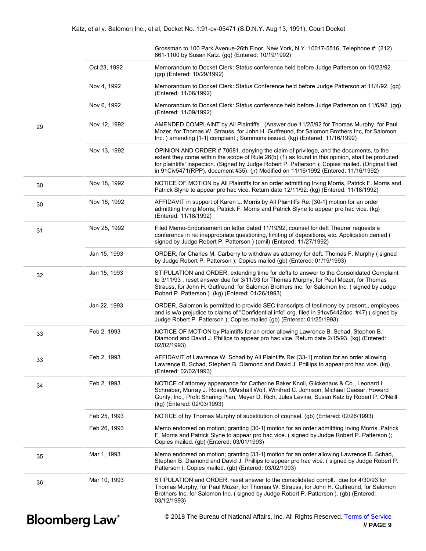|    |    |              | Grossman to 100 Park Avenue-26th Floor, New York, N.Y. 10017-5516, Telephone #: (212)<br>661-1100 by Susan Katz. (gq) (Entered: 10/19/1992)                                                                                                                                                                                                                                        |
|----|----|--------------|------------------------------------------------------------------------------------------------------------------------------------------------------------------------------------------------------------------------------------------------------------------------------------------------------------------------------------------------------------------------------------|
|    |    | Oct 23, 1992 | Memorandum to Docket Clerk: Status conference held before Judge Patterson on 10/23/92.<br>(gq) (Entered: 10/29/1992)                                                                                                                                                                                                                                                               |
|    |    | Nov 4, 1992  | Memorandum to Docket Clerk: Status Conference held before Judge Patterson at 11/4/92. (gq)<br>(Entered: 11/06/1992)                                                                                                                                                                                                                                                                |
|    |    | Nov 6, 1992  | Memorandum to Docket Clerk: Status conference held before Judge Patterson on 11/6/92. (gq)<br>(Entered: 11/09/1992)                                                                                                                                                                                                                                                                |
|    | 29 | Nov 12, 1992 | AMENDED COMPLAINT by All Plaintiffs, (Answer due 11/25/92 for Thomas Murphy, for Paul<br>Mozer, for Thomas W. Strauss, for John H. Gutfreund, for Salomon Brothers Inc, for Salomon<br>Inc. ) amending [1-1] complaint ; Summons issued. (kg) (Entered: 11/16/1992)                                                                                                                |
|    |    | Nov 13, 1992 | OPINION AND ORDER #70681, denying the claim of privilege, and the documents, to the<br>extent they come within the scope of Rule 26(b) (1) as found in this opinion, shall be produced<br>for plaintiffs' inspection. (Signed by Judge Robert P. Patterson); Copies mailed. (Original filed<br>in 91Civ5471(RPP), document #35). (jr) Modified on 11/16/1992 (Entered: 11/16/1992) |
|    | 30 | Nov 18, 1992 | NOTICE OF MOTION by All Plaintiffs for an order admittting Irving Morris, Patrick F. Morris and<br>Patrick Slyne to appear pro hac vice. Return date 12/11/92. (kg) (Entered: 11/18/1992)                                                                                                                                                                                          |
|    | 30 | Nov 18, 1992 | AFFIDAVIT in support of Karen L. Morris by All Plaintiffs Re: [30-1] motion for an order<br>admittting Irving Morris, Patrick F. Morris and Patrick Slyne to appear pro hac vice. (kg)<br>(Entered: 11/18/1992)                                                                                                                                                                    |
|    | 31 | Nov 25, 1992 | Filed Memo-Endorsement on letter dated 11/19/92, counsel for deft Theurer requests a<br>conference in re: inappropriate questioning, limiting of depositions, etc. Application denied (<br>signed by Judge Robert P. Patterson ) (emil) (Entered: 11/27/1992)                                                                                                                      |
|    |    | Jan 15, 1993 | ORDER, for Charles M. Carberry to withdraw as attorney for deft. Thomas F. Murphy (signed<br>by Judge Robert P. Patterson ); Copies mailed (gb) (Entered: 01/19/1993)                                                                                                                                                                                                              |
|    | 32 | Jan 15, 1993 | STIPULATION and ORDER, extending time for defts to answer to the Consolidated Complaint<br>to 3/11/93, reset answer due for 3/11/93 for Thomas Murphy, for Paul Mozer, for Thomas<br>Strauss, for John H. Gutfreund, for Salomon Brothers Inc, for Salomon Inc. (signed by Judge<br>Robert P. Patterson ). (kg) (Entered: 01/26/1993)                                              |
|    |    | Jan 22, 1993 | ORDER, Salomon is permitted to provide SEC transcripts of testimony by present., employees<br>and is w/o prejudice to claims of "Confidential info" org. filed in 91cv5442doc. #47) (signed by<br>Judge Robert P. Patterson ); Copies mailed (gb) (Entered: 01/25/1993)                                                                                                            |
|    | 33 | Feb 2, 1993  | NOTICE OF MOTION by Plaintiffs for an order allowing Lawrence B. Schad, Stephen B.<br>Diamond and David J. Phillips to appear pro hac vice. Return date 2/15/93. (kg) (Entered:<br>02/02/1993)                                                                                                                                                                                     |
|    | 33 | Feb 2, 1993  | AFFIDAVIT of Lawrence W. Schad by All Plaintiffs Re: [33-1] motion for an order allowing<br>Lawrence B. Schad, Stephen B. Diamond and David J. Phillips to appear pro hac vice. (kg)<br>(Entered: 02/02/1993)                                                                                                                                                                      |
| 34 |    | Feb 2, 1993  | NOTICE of attorney appearance for Catherine Baker Knoll, Glickenaus & Co., Leonard I.<br>Schreiber, Murray J. Rosen, MArshall Wolf, Winifred C. Johnson, Michael Caesar, Howard<br>Gunty, Inc., Profit Sharing Plan, Meyer D. Rich, Jules Levine, Susan Katz by Robert P. O'Neill<br>(kg) (Entered: 02/03/1993)                                                                    |
|    |    | Feb 25, 1993 | NOTICE of by Thomas Murphy of substitution of counsel. (gb) (Entered: 02/26/1993)                                                                                                                                                                                                                                                                                                  |
|    |    | Feb 26, 1993 | Memo endorsed on motion; granting [30-1] motion for an order admittting Irving Morris, Patrick<br>F. Morris and Patrick Slyne to appear pro hac vice. (signed by Judge Robert P. Patterson);<br>Copies mailed. (gb) (Entered: 03/01/1993)                                                                                                                                          |
|    | 35 | Mar 1, 1993  | Memo endorsed on motion; granting [33-1] motion for an order allowing Lawrence B. Schad,<br>Stephen B. Diamond and David J. Phillips to appear pro hac vice. (signed by Judge Robert P.<br>Patterson ); Copies mailed. (gb) (Entered: 03/02/1993)                                                                                                                                  |
|    | 36 | Mar 10, 1993 | STIPULATION and ORDER, reset answer to the consolidated complt due for 4/30/93 for<br>Thomas Murphy, for Paul Mozer, for Thomas W. Strauss, for John H. Gutfreund, for Salomon<br>Brothers Inc, for Salomon Inc. (signed by Judge Robert P. Patterson). (gb) (Entered:<br>03/12/1993)                                                                                              |
|    |    |              |                                                                                                                                                                                                                                                                                                                                                                                    |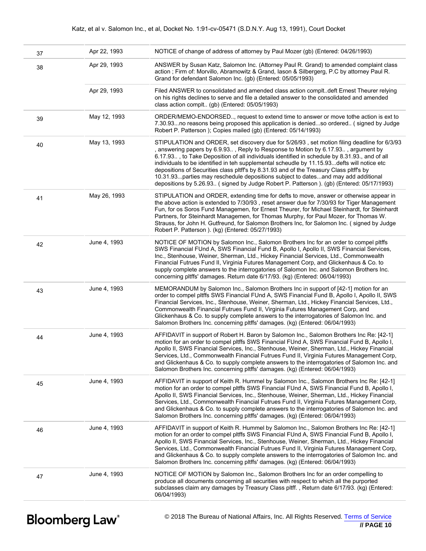#### Katz, et al v. Salomon Inc., et al, Docket No. 1:91-cv-05471 (S.D.N.Y. Aug 13, 1991), Court Docket

| 37 | Apr 22, 1993 | NOTICE of change of address of attorney by Paul Mozer (gb) (Entered: 04/26/1993)                                                                                                                                                                                                                                                                                                                                                                                                                                                                                                                                                                                |
|----|--------------|-----------------------------------------------------------------------------------------------------------------------------------------------------------------------------------------------------------------------------------------------------------------------------------------------------------------------------------------------------------------------------------------------------------------------------------------------------------------------------------------------------------------------------------------------------------------------------------------------------------------------------------------------------------------|
| 38 | Apr 29, 1993 | ANSWER by Susan Katz, Salomon Inc. (Attorney Paul R. Grand) to amended complaint class<br>action; Firm of: Morvillo, Abramowitz & Grand, Iason & Silbergerg, P.C by attorney Paul R.<br>Grand for defendant Salomon Inc. (gb) (Entered: 05/05/1993)                                                                                                                                                                                                                                                                                                                                                                                                             |
|    | Apr 29, 1993 | Filed ANSWER to consolidated and amended class action compltdeft Ernest Theurer relying<br>on his rights declines to serve and file a detailed answer to the consolidated and amended<br>class action complt (gb) (Entered: 05/05/1993)                                                                                                                                                                                                                                                                                                                                                                                                                         |
| 39 | May 12, 1993 | ORDER/MEMO-ENDORSED, request to extend time to answer or move tothe action is ext to<br>7.30.93no reasons being proposed this application is deniedso ordered (signed by Judge<br>Robert P. Patterson ); Copies mailed (gb) (Entered: 05/14/1993)                                                                                                                                                                                                                                                                                                                                                                                                               |
| 40 | May 13, 1993 | STIPULATION and ORDER, set discovery due for 5/26/93, set motion filing deadline for 6/3/93<br>, answering papers by 6.9.93, Reply to Response to Motion by 6.17.93, argument by<br>6.17.93, to Take Deposition of all individuals identified in schedule by 8.31.93., and of all<br>individuals to be identified in teh supplemental scheudle by 11.15.93 defts will notice etc<br>depositions of Securities class pltff's by 8.31.93 and of the Treasury Class pltff's by<br>10.31.93. parties may reschedule depositions subject to datesand may add additional<br>depositions by 5.26.93 (signed by Judge Robert P. Patterson ). (gb) (Entered: 05/17/1993) |
| 41 | May 26, 1993 | STIPULATION and ORDER, extending time for defts to move, answer or otherwise appear in<br>the above action is extended to 7/30/93, reset answer due for 7/30/93 for Tiger Management<br>Fun, for os Soros Fund Managemen, for Ernest Theurer, for Michael Steinhardt, for Steinhardt<br>Partners, for Steinhardt Managemen, for Thomas Murphy, for Paul Mozer, for Thomas W.<br>Strauss, for John H. Gutfreund, for Salomon Brothers Inc, for Salomon Inc. (signed by Judge<br>Robert P. Patterson ). (kg) (Entered: 05/27/1993)                                                                                                                                |
| 42 | June 4, 1993 | NOTICE OF MOTION by Salomon Inc., Salomon Brothers Inc for an order to compel pltffs<br>SWS Financial FUnd A, SWS Financial Fund B, Apollo I, Apollo II, SWS Financial Services,<br>Inc., Stenhouse, Weiner, Sherman, Ltd., Hickey Financial Services, Ltd., Commonwealth<br>Financial Futrues Fund II, Virginia Futures Management Corp, and Glickenhaus & Co. to<br>supply complete answers to the interrogatories of Salomon Inc. and Salomon Brothers Inc.<br>concerning pltffs' damages. Return date 6/17/93. (kg) (Entered: 06/04/1993)                                                                                                                   |
| 43 | June 4, 1993 | MEMORANDUM by Salomon Inc., Salomon Brothers Inc in support of [42-1] motion for an<br>order to compel pltffs SWS Financial FUnd A, SWS Financial Fund B, Apollo I, Apollo II, SWS<br>Financial Services, Inc., Stenhouse, Weiner, Sherman, Ltd., Hickey Financial Services, Ltd.,<br>Commonwealth Financial Futrues Fund II, Virginia Futures Management Corp, and<br>Glickenhaus & Co. to supply complete answers to the interrogatories of Salomon Inc. and<br>Salomon Brothers Inc. concerning pltffs' damages. (kg) (Entered: 06/04/1993)                                                                                                                  |
| 44 | June 4, 1993 | AFFIDAVIT in support of Robert H. Baron by Salomon Inc., Salomon Brothers Inc Re: [42-1]<br>motion for an order to compel pltffs SWS Financial FUnd A, SWS Financial Fund B, Apollo I,<br>Apollo II, SWS Financial Services, Inc., Stenhouse, Weiner, Sherman, Ltd., Hickey Financial<br>Services, Ltd., Commonwealth Financial Futrues Fund II, Virginia Futures Management Corp,<br>and Glickenhaus & Co. to supply complete answers to the interrogatories of Salomon Inc. and<br>Salomon Brothers Inc. concerning pltffs' damages. (kg) (Entered: 06/04/1993)                                                                                               |
| 45 | June 4, 1993 | AFFIDAVIT in support of Keith R. Hummel by Salomon Inc., Salomon Brothers Inc Re: [42-1]<br>motion for an order to compel pltffs SWS Financial FUnd A, SWS Financial Fund B, Apollo I,<br>Apollo II, SWS Financial Services, Inc., Stenhouse, Weiner, Sherman, Ltd., Hickey Financial<br>Services, Ltd., Commonwealth Financial Futrues Fund II, Virginia Futures Management Corp,<br>and Glickenhaus & Co. to supply complete answers to the interrogatories of Salomon Inc. and<br>Salomon Brothers Inc. concerning pltffs' damages. (kg) (Entered: 06/04/1993)                                                                                               |
| 46 | June 4, 1993 | AFFIDAVIT in support of Keith R. Hummel by Salomon Inc., Salomon Brothers Inc Re: [42-1]<br>motion for an order to compel pltffs SWS Financial FUnd A, SWS Financial Fund B, Apollo I,<br>Apollo II, SWS Financial Services, Inc., Stenhouse, Weiner, Sherman, Ltd., Hickey Financial<br>Services, Ltd., Commonwealth Financial Futrues Fund II, Virginia Futures Management Corp,<br>and Glickenhaus & Co. to supply complete answers to the interrogatories of Salomon Inc. and<br>Salomon Brothers Inc. concerning pltffs' damages. (kg) (Entered: 06/04/1993)                                                                                               |
| 47 | June 4, 1993 | NOTICE OF MOTION by Salomon Inc., Salomon Brothers Inc for an order compelling to<br>produce all documents concerning all securities with respect to which all the purported<br>subclasses claim any damages by Treasury Class pltff., Return date 6/17/93. (kg) (Entered:<br>06/04/1993)                                                                                                                                                                                                                                                                                                                                                                       |
|    |              |                                                                                                                                                                                                                                                                                                                                                                                                                                                                                                                                                                                                                                                                 |

**Bloomberg Law**<sup>®</sup>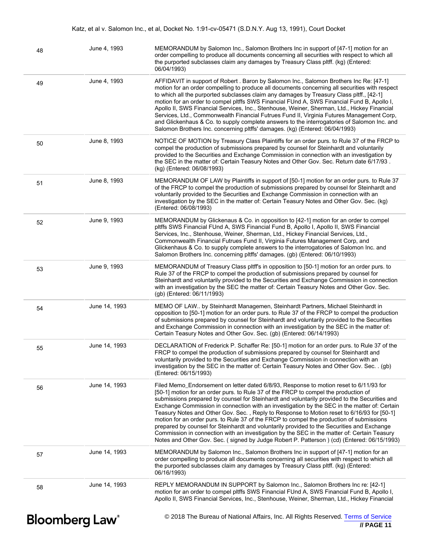| 48                    | June 4, 1993  | MEMORANDUM by Salomon Inc., Salomon Brothers Inc in support of [47-1] motion for an<br>order compelling to produce all documents concerning all securities with respect to which all<br>the purported subclasses claim any damages by Treasury Class pltff. (kg) (Entered:<br>06/04/1993)                                                                                                                                                                                                                                                                                                                                                                                                                                                                                                                                                                           |
|-----------------------|---------------|---------------------------------------------------------------------------------------------------------------------------------------------------------------------------------------------------------------------------------------------------------------------------------------------------------------------------------------------------------------------------------------------------------------------------------------------------------------------------------------------------------------------------------------------------------------------------------------------------------------------------------------------------------------------------------------------------------------------------------------------------------------------------------------------------------------------------------------------------------------------|
| 49                    | June 4, 1993  | AFFIDAVIT in support of Robert . Baron by Salomon Inc., Salomon Brothers Inc Re: [47-1]<br>motion for an order compelling to produce all documents concerning all securities with respect<br>to which all the purported subclasses claim any damages by Treasury Class pltff., [42-1]<br>motion for an order to compel pltffs SWS Financial FUnd A, SWS Financial Fund B, Apollo I,<br>Apollo II, SWS Financial Services, Inc., Stenhouse, Weiner, Sherman, Ltd., Hickey Financial<br>Services, Ltd., Commonwealth Financial Futrues Fund II, Virginia Futures Management Corp,<br>and Glickenhaus & Co. to supply complete answers to the interrogatories of Salomon Inc. and<br>Salomon Brothers Inc. concerning pltffs' damages. (kg) (Entered: 06/04/1993)                                                                                                      |
| 50                    | June 8, 1993  | NOTICE OF MOTION by Treasury Class Plaintiffs for an order purs. to Rule 37 of the FRCP to<br>compel the production of submissions prepared by counsel for Steinhardt and voluntarily<br>provided to the Securities and Exchange Commission in connection with an investigation by<br>the SEC in the matter of: Certain Teasury Notes and Other Gov. Sec. Return date 6/17/93.<br>(kg) (Entered: 06/08/1993)                                                                                                                                                                                                                                                                                                                                                                                                                                                        |
| 51                    | June 8, 1993  | MEMORANDUM OF LAW by Plaintiffs in support of [50-1] motion for an order purs. to Rule 37<br>of the FRCP to compel the production of submissions prepared by counsel for Steinhardt and<br>voluntarily provided to the Securities and Exchange Commission in connection with an<br>investigation by the SEC in the matter of: Certain Teasury Notes and Other Gov. Sec. (kg)<br>(Entered: 06/08/1993)                                                                                                                                                                                                                                                                                                                                                                                                                                                               |
| 52                    | June 9, 1993  | MEMORANDUM by Glickenaus & Co. in opposition to [42-1] motion for an order to compel<br>pltffs SWS Financial FUnd A, SWS Financial Fund B, Apollo I, Apollo II, SWS Financial<br>Services, Inc., Stenhouse, Weiner, Sherman, Ltd., Hickey Financial Services, Ltd.,<br>Commonwealth Financial Futrues Fund II, Virginia Futures Management Corp, and<br>Glickenhaus & Co. to supply complete answers to the interrogatories of Salomon Inc. and<br>Salomon Brothers Inc. concerning pltffs' damages. (gb) (Entered: 06/10/1993)                                                                                                                                                                                                                                                                                                                                     |
| 53                    | June 9, 1993  | MEMORANDUM of Treasury Class pltff's in opposition to [50-1] motion for an order purs. to<br>Rule 37 of the FRCP to compel the production of submissions prepared by counsel for<br>Steinhardt and voluntarily provided to the Securities and Exchange Commission in connection<br>with an investigation by the SEC the matter of: Certain Teasury Notes and Other Gov. Sec.<br>(gb) (Entered: 06/11/1993)                                                                                                                                                                                                                                                                                                                                                                                                                                                          |
| 54                    | June 14, 1993 | MEMO OF LAW by Steinhardt Managemen, Steinhardt Partners, Michael Steinhardt in<br>opposition to [50-1] motion for an order purs. to Rule 37 of the FRCP to compel the production<br>of submissions prepared by counsel for Steinhardt and voluntarily provided to the Securities<br>and Exchange Commission in connection with an investigation by the SEC in the matter of:<br>Certain Teasury Notes and Other Gov. Sec. (gb) (Entered: 06/14/1993)                                                                                                                                                                                                                                                                                                                                                                                                               |
| 55                    | June 14, 1993 | DECLARATION of Frederick P. Schaffer Re: [50-1] motion for an order purs. to Rule 37 of the<br>FRCP to compel the production of submissions prepared by counsel for Steinhardt and<br>voluntarily provided to the Securities and Exchange Commission in connection with an<br>investigation by the SEC in the matter of: Certain Teasury Notes and Other Gov. Sec. . (gb)<br>(Entered: 06/15/1993)                                                                                                                                                                                                                                                                                                                                                                                                                                                                  |
| 56                    | June 14, 1993 | Filed Memo_Endorsement on letter dated 6/8/93, Response to motion reset to 6/11/93 for<br>[50-1] motion for an order purs. to Rule 37 of the FRCP to compel the production of<br>submissions prepared by counsel for Steinhardt and voluntarily provided to the Securities and<br>Exchange Commission in connection with an investigation by the SEC in the matter of: Certain<br>Teasury Notes and Other Gov. Sec., Reply to Response to Motion reset to 6/16/93 for [50-1]<br>motion for an order purs, to Rule 37 of the FRCP to compel the production of submissions<br>prepared by counsel for Steinhardt and voluntarily provided to the Securities and Exchange<br>Commission in connection with an investigation by the SEC in the matter of: Certain Teasury<br>Notes and Other Gov. Sec. (signed by Judge Robert P. Patterson) (cd) (Entered: 06/15/1993) |
| 57                    | June 14, 1993 | MEMORANDUM by Salomon Inc., Salomon Brothers Inc in support of [47-1] motion for an<br>order compelling to produce all documents concerning all securities with respect to which all<br>the purported subclasses claim any damages by Treasury Class pltff. (kg) (Entered:<br>06/16/1993)                                                                                                                                                                                                                                                                                                                                                                                                                                                                                                                                                                           |
| 58                    | June 14, 1993 | REPLY MEMORANDUM IN SUPPORT by Salomon Inc., Salomon Brothers Inc re: [42-1]<br>motion for an order to compel pltffs SWS Financial FUnd A, SWS Financial Fund B, Apollo I,<br>Apollo II, SWS Financial Services, Inc., Stenhouse, Weiner, Sherman, Ltd., Hickey Financial                                                                                                                                                                                                                                                                                                                                                                                                                                                                                                                                                                                           |
| <b>Bloomberg Law®</b> |               | © 2018 The Bureau of National Affairs, Inc. All Rights Reserved. Terms of Service<br>// PAGE 11                                                                                                                                                                                                                                                                                                                                                                                                                                                                                                                                                                                                                                                                                                                                                                     |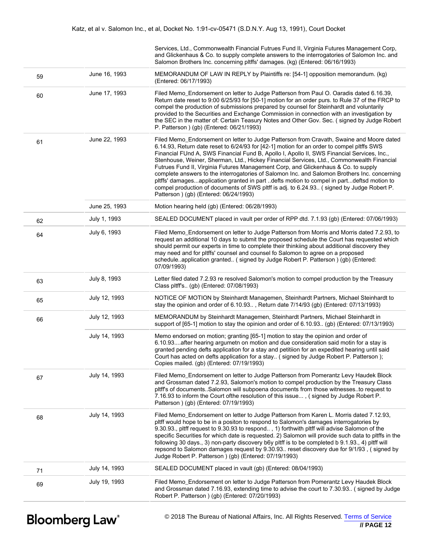|    |               | Services, Ltd., Commonwealth Financial Futrues Fund II, Virginia Futures Management Corp,<br>and Glickenhaus & Co. to supply complete answers to the interrogatories of Salomon Inc. and<br>Salomon Brothers Inc. concerning pltffs' damages. (kg) (Entered: 06/16/1993)                                                                                                                                                                                                                                                                                                                                                                                                                                                                                                                                   |
|----|---------------|------------------------------------------------------------------------------------------------------------------------------------------------------------------------------------------------------------------------------------------------------------------------------------------------------------------------------------------------------------------------------------------------------------------------------------------------------------------------------------------------------------------------------------------------------------------------------------------------------------------------------------------------------------------------------------------------------------------------------------------------------------------------------------------------------------|
| 59 | June 16, 1993 | MEMORANDUM OF LAW IN REPLY by Plaintiffs re: [54-1] opposition memorandum. (kg)<br>(Entered: 06/17/1993)                                                                                                                                                                                                                                                                                                                                                                                                                                                                                                                                                                                                                                                                                                   |
| 60 | June 17, 1993 | Filed Memo_Endorsement on letter to Judge Patterson from Paul O. Oaradis dated 6.16.39,<br>Return date reset to 9:00 6/25/93 for [50-1] motion for an order purs. to Rule 37 of the FRCP to<br>compel the production of submissions prepared by counsel for Steinhardt and voluntarily<br>provided to the Securities and Exchange Commission in connection with an investigation by<br>the SEC in the matter of: Certain Teasury Notes and Other Gov. Sec. (signed by Judge Robert<br>P. Patterson ) (gb) (Entered: 06/21/1993)                                                                                                                                                                                                                                                                            |
| 61 | June 22, 1993 | Filed Memo_Endorsement on letter to Judge Patterson from Cravath, Swaine and Moore dated<br>6.14.93, Return date reset to 6/24/93 for [42-1] motion for an order to compel pltffs SWS<br>Financial FUnd A, SWS Financial Fund B, Apollo I, Apollo II, SWS Financial Services, Inc.,<br>Stenhouse, Weiner, Sherman, Ltd., Hickey Financial Services, Ltd., Commonwealth Financial<br>Futrues Fund II, Virginia Futures Management Corp, and Glickenhaus & Co. to supply<br>complete answers to the interrogatories of Salomon Inc. and Salomon Brothers Inc. concerning<br>pltffs' damagesapplication granted in part defts motion to compel in partdeftsd motion to<br>compel production of documents of SWS pltff is adj. to 6.24.93 (signed by Judge Robert P.<br>Patterson ) (gb) (Entered: 06/24/1993) |
|    | June 25, 1993 | Motion hearing held (gb) (Entered: 06/28/1993)                                                                                                                                                                                                                                                                                                                                                                                                                                                                                                                                                                                                                                                                                                                                                             |
| 62 | July 1, 1993  | SEALED DOCUMENT placed in vault per order of RPP dtd. 7.1.93 (gb) (Entered: 07/06/1993)                                                                                                                                                                                                                                                                                                                                                                                                                                                                                                                                                                                                                                                                                                                    |
| 64 | July 6, 1993  | Filed Memo_Endorsement on letter to Judge Patterson from Morris and Morris dated 7.2.93, to<br>request an additional 10 days to submit the proposed schedule the Court has requested which<br>should permit our experts in time to complete their thinkiing about additional discovery they<br>may need and for pltffs' counsel and counsel fo Salomon to agree on a proposed<br>scheduleapplication granted (signed by Judge Robert P. Patterson ) (gb) (Entered:<br>07/09/1993)                                                                                                                                                                                                                                                                                                                          |
| 63 | July 8, 1993  | Letter filed dated 7.2.93 re resolved Salomon's motion to compel production by the Treasury<br>Class pltff's (gb) (Entered: 07/08/1993)                                                                                                                                                                                                                                                                                                                                                                                                                                                                                                                                                                                                                                                                    |
| 65 | July 12, 1993 | NOTICE OF MOTION by Steinhardt Managemen, Steinhardt Partners, Michael Steinhardt to<br>stay the opinion and order of 6.10.93, Return date 7/14/93 (gb) (Entered: 07/13/1993)                                                                                                                                                                                                                                                                                                                                                                                                                                                                                                                                                                                                                              |
| 66 | July 12, 1993 | MEMORANDUM by Steinhardt Managemen, Steinhardt Partners, Michael Steinhardt in<br>support of [65-1] motion to stay the opinion and order of 6.10.93 (gb) (Entered: 07/13/1993)                                                                                                                                                                                                                                                                                                                                                                                                                                                                                                                                                                                                                             |
|    | July 14, 1993 | Memo endorsed on motion; granting [65-1] motion to stay the opinion and order of<br>6.10.93after hearing argumeth on motion and due consideration said motin for a stay is<br>granted pending defts application for a stay and petitiion for an expedited hearing until said<br>Court has acted on defts application for a stay (signed by Judge Robert P. Patterson);<br>Copies mailed. (gb) (Entered: 07/19/1993)                                                                                                                                                                                                                                                                                                                                                                                        |
| 67 | July 14, 1993 | Filed Memo_Endorsement on letter to Judge Patterson from Pomerantz Levy Haudek Block<br>and Grossman dated 7.2.93, Salomon's motion to compel production by the Treasury Class<br>pltff's of documentsSalomon will subpoena documents from those witnessesto request to<br>7.16.93 to inform the Court of the resolution of this issue, (signed by Judge Robert P.<br>Patterson ) (gb) (Entered: 07/19/1993)                                                                                                                                                                                                                                                                                                                                                                                               |
| 68 | July 14, 1993 | Filed Memo_Endorsement on letter to Judge Patterson from Karen L. Morris dated 7.12.93,<br>pltff would hope to be in a positon to respond to Salomon's damages interrogatories by<br>9.30.93., pltff request to 9.30.93 to respond, 1) forthwith pltff will advise Salomon of the<br>specific Securities for which date is requested. 2) Salomon will provide such data to pltffs in the<br>following 30 days., 3) non-party discovery b6y pltff is to be completed b 9.1.93., 4) pltff will<br>repsond to Salomon damages request by 9.30.93. reset discovery due for 9/1/93, (signed by<br>Judge Robert P. Patterson ) (gb) (Entered: 07/19/1993)                                                                                                                                                        |
| 71 | July 14, 1993 | SEALED DOCUMENT placed in vault (gb) (Entered: 08/04/1993)                                                                                                                                                                                                                                                                                                                                                                                                                                                                                                                                                                                                                                                                                                                                                 |
| 69 | July 19, 1993 | Filed Memo_Endorsement on letter to Judge Patterson from Pomerantz Levy Haudek Block<br>and Grossman dated 7.16.93, extending time to advise the court to 7.30.93 (signed by Judge<br>Robert P. Patterson ) (gb) (Entered: 07/20/1993)                                                                                                                                                                                                                                                                                                                                                                                                                                                                                                                                                                     |
|    |               |                                                                                                                                                                                                                                                                                                                                                                                                                                                                                                                                                                                                                                                                                                                                                                                                            |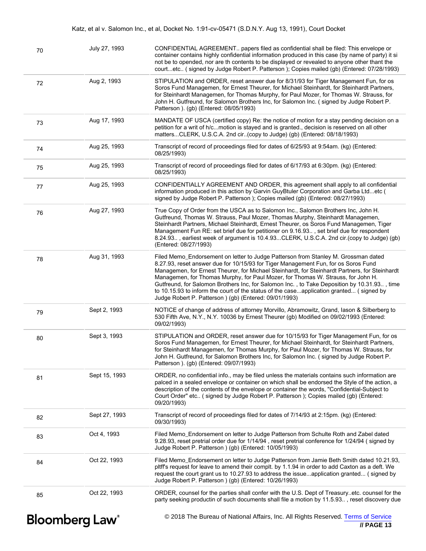| Katz, et al v. Salomon Inc., et al, Docket No. 1:91-cv-05471 (S.D.N.Y. Aug 13, 1991), Court Docket |  |  |  |  |  |  |
|----------------------------------------------------------------------------------------------------|--|--|--|--|--|--|
|----------------------------------------------------------------------------------------------------|--|--|--|--|--|--|

|    | <b>Bloomberg Law</b> <sup>®</sup> | © 2018 The Bureau of National Affairs, Inc. All Rights Reserved. Terms of Service<br>// PAGE 13                                                                                                                                                                                                                                                                                                                                                                                                                                                                                                                    |
|----|-----------------------------------|--------------------------------------------------------------------------------------------------------------------------------------------------------------------------------------------------------------------------------------------------------------------------------------------------------------------------------------------------------------------------------------------------------------------------------------------------------------------------------------------------------------------------------------------------------------------------------------------------------------------|
| 85 | Oct 22, 1993                      | ORDER, counsel for the parties shall confer with the U.S. Dept of Treasuryetc. counsel for the<br>party seeking productin of such documents shall file a motion by 11.5.93, reset discovery due                                                                                                                                                                                                                                                                                                                                                                                                                    |
| 84 | Oct 22, 1993                      | Filed Memo_Endorsement on letter to Judge Patterson from Jamie Beth Smith dated 10.21.93,<br>pltff's request for leave to amend their complt. by 1.1.94 in order to add Caxton as a deft. We<br>request the court grant us to 10.27.93 to address the issueapplication granted (signed by<br>Judge Robert P. Patterson ) (gb) (Entered: 10/26/1993)                                                                                                                                                                                                                                                                |
| 83 | Oct 4, 1993                       | Filed Memo_Endorsement on letter to Judge Patterson from Schulte Roth and Zabel dated<br>9.28.93, reset pretrial order due for 1/14/94, reset pretrial conference for 1/24/94 (signed by<br>Judge Robert P. Patterson ) (gb) (Entered: 10/05/1993)                                                                                                                                                                                                                                                                                                                                                                 |
| 82 | Sept 27, 1993                     | Transcript of record of proceedings filed for dates of 7/14/93 at 2:15pm. (kg) (Entered:<br>09/30/1993)                                                                                                                                                                                                                                                                                                                                                                                                                                                                                                            |
| 81 | Sept 15, 1993                     | ORDER, no confidential info., may be filed unless the materials contains such information are<br>palced in a sealed envelope or container on which shall be endorsed the Style of the action, a<br>description of the contents of the envelope or container the words, "Confidential-Subject to<br>Court Order" etc (signed by Judge Robert P. Patterson); Copies mailed (gb) (Entered:<br>09/20/1993)                                                                                                                                                                                                             |
| 80 | Sept 3, 1993                      | STIPULATION and ORDER, reset answer due for 10/15/93 for Tiger Management Fun, for os<br>Soros Fund Managemen, for Ernest Theurer, for Michael Steinhardt, for Steinhardt Partners,<br>for Steinhardt Managemen, for Thomas Murphy, for Paul Mozer, for Thomas W. Strauss, for<br>John H. Gutfreund, for Salomon Brothers Inc, for Salomon Inc. (signed by Judge Robert P.<br>Patterson ). (gb) (Entered: 09/07/1993)                                                                                                                                                                                              |
| 79 | Sept 2, 1993                      | NOTICE of change of address of attorney Morvillo, Abramowitz, Grand, Iason & Silberberg to<br>530 Fifth Ave, N.Y., N.Y. 10036 by Ernest Theurer (gb) Modified on 09/02/1993 (Entered:<br>09/02/1993)                                                                                                                                                                                                                                                                                                                                                                                                               |
| 78 | Aug 31, 1993                      | Filed Memo_Endorsement on letter to Judge Patterson from Stanley M. Grossman dated<br>8.27.93, reset answer due for 10/15/93 for Tiger Management Fun, for os Soros Fund<br>Managemen, for Ernest Theurer, for Michael Steinhardt, for Steinhardt Partners, for Steinhardt<br>Managemen, for Thomas Murphy, for Paul Mozer, for Thomas W. Strauss, for John H.<br>Gutfreund, for Salomon Brothers Inc, for Salomon Inc., to Take Deposition by 10.31.93, time<br>to 10.15.93 to inform the court of the status of the caseapplication granted (signed by<br>Judge Robert P. Patterson ) (gb) (Entered: 09/01/1993) |
| 76 | Aug 27, 1993                      | True Copy of Order from the USCA as to Salomon Inc., Salomon Brothers Inc, John H.<br>Gutfreund, Thomas W. Strauss, Paul Mozer, Thomas Murphy, Steinhardt Managemen,<br>Steinhardt Partners, Michael Steinhardt, Ernest Theurer, os Soros Fund Managemen, Tiger<br>Management Fun RE: set brief due for petitioner on 9.16.93, set brief due for respondent<br>8.24.93, earliest week of argument is 10.4.93CLERK, U.S.C.A. 2nd cir.(copy to Judge) (gb)<br>(Entered: 08/27/1993)                                                                                                                                  |
| 77 | Aug 25, 1993                      | CONFIDENTIALLY AGREEMENT AND ORDER, this agreement shall apply to all confidential<br>information produced in this action by Garvin GuyBtuler Corporation and Garba Ltdetc (<br>signed by Judge Robert P. Patterson ); Copies mailed (gb) (Entered: 08/27/1993)                                                                                                                                                                                                                                                                                                                                                    |
| 75 | Aug 25, 1993                      | Transcript of record of proceedings filed for dates of 6/17/93 at 6:30pm. (kg) (Entered:<br>08/25/1993)                                                                                                                                                                                                                                                                                                                                                                                                                                                                                                            |
| 74 | Aug 25, 1993                      | Transcript of record of proceedings filed for dates of 6/25/93 at 9:54am. (kg) (Entered:<br>08/25/1993)                                                                                                                                                                                                                                                                                                                                                                                                                                                                                                            |
| 73 | Aug 17, 1993                      | MANDATE OF USCA (certified copy) Re: the notice of motion for a stay pending decision on a<br>petition for a writ of h/cmotion is stayed and is granted., decision is reserved on all other<br>mattersCLERK, U.S.C.A. 2nd cir(copy to Judge) (gb) (Entered: 08/18/1993)                                                                                                                                                                                                                                                                                                                                            |
| 72 | Aug 2, 1993                       | STIPULATION and ORDER, reset answer due for 8/31/93 for Tiger Management Fun, for os<br>Soros Fund Managemen, for Ernest Theurer, for Michael Steinhardt, for Steinhardt Partners,<br>for Steinhardt Managemen, for Thomas Murphy, for Paul Mozer, for Thomas W. Strauss, for<br>John H. Gutfreund, for Salomon Brothers Inc, for Salomon Inc. (signed by Judge Robert P.<br>Patterson ). (gb) (Entered: 08/05/1993)                                                                                                                                                                                               |
| 70 | July 27, 1993                     | CONFIDENTIAL AGREEMENT papers filed as confidential shall be filed: This envelope or<br>container contains highly confidential information produced in this case (by name of party) it si<br>not be to opended, nor are th contents to be displayed or revealed to anyone other thant the<br>courtetc (signed by Judge Robert P. Patterson); Copies mailed (gb) (Entered: 07/28/1993)                                                                                                                                                                                                                              |

 **<sup>//</sup> PAGE 13**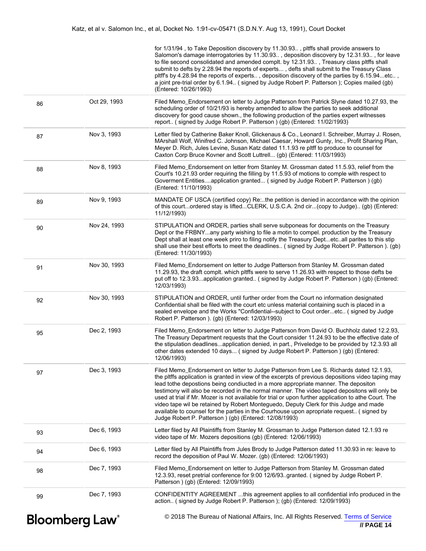|                                   |              | for 1/31/94, to Take Deposition discovery by 11.30.93, pltffs shall provide answers to<br>Salomon's damage interrogatories by 11.30.93, deposition discovery by 12.31.93, for leave<br>to file second consolidated and amended complt. by 12.31.93, Treasury class pltffs shall<br>submit to defts by 2.28.94 the reports of experts, defts shall submit to the Treasury Class<br>pltff's by 4.28.94 the reports of experts, deposition discovery of the parties by 6.15.94etc,<br>a joint pre-trial order by 6.1.94 (signed by Judge Robert P. Patterson); Copies mailed (gb)<br>(Entered: 10/26/1993)                                                                                                                                     |
|-----------------------------------|--------------|---------------------------------------------------------------------------------------------------------------------------------------------------------------------------------------------------------------------------------------------------------------------------------------------------------------------------------------------------------------------------------------------------------------------------------------------------------------------------------------------------------------------------------------------------------------------------------------------------------------------------------------------------------------------------------------------------------------------------------------------|
| 86                                | Oct 29, 1993 | Filed Memo_Endorsement on letter to Judge Patterson from Patrick Slyne dated 10.27.93, the<br>scheduling order of 10/21/93 is hereby amended to allow the parties to seek additional<br>discovery for good cause shown., the following production of the parties expert witnesses<br>report (signed by Judge Robert P. Patterson) (gb) (Entered: 11/02/1993)                                                                                                                                                                                                                                                                                                                                                                                |
| 87                                | Nov 3, 1993  | Letter filed by Catherine Baker Knoll, Glickenaus & Co., Leonard I. Schreiber, Murray J. Rosen,<br>MArshall Wolf, Winifred C. Johnson, Michael Caesar, Howard Gunty, Inc., Profit Sharing Plan,<br>Meyer D. Rich, Jules Levine, Susan Katz dated 11.1.93 re pltff to produce to counsel for<br>Caxton Corp Bruce Kovner and Scott Luttrell (gb) (Entered: 11/03/1993)                                                                                                                                                                                                                                                                                                                                                                       |
| 88                                | Nov 8, 1993  | Filed Memo_Endorsement on letter from Stanley M. Grossman dated 11.5.93, relief from the<br>Court's 10.21.93 order requiring the filling by 11.5.93 of motions to comple with respect to<br>Goverment Entitiesapplication granted (signed by Judge Robert P. Patterson) (gb)<br>(Entered: 11/10/1993)                                                                                                                                                                                                                                                                                                                                                                                                                                       |
| 89                                | Nov 9, 1993  | MANDATE OF USCA (certified copy) Re:the petition is denied in accordance with the opinion<br>of this courtordered stay is liftedCLERK, U.S.C.A. 2nd cir(copy to Judge) (gb) (Entered:<br>11/12/1993)                                                                                                                                                                                                                                                                                                                                                                                                                                                                                                                                        |
| 90                                | Nov 24, 1993 | STIPULATION and ORDER, parties shall serve subponeas for documents on the Treasury<br>Dept or the FRBNYany party wishing to file a motin to compel. production by the Treasury<br>Dept shall at least one week priro to filing notify the Treasury Deptetcall parites to this stip<br>shall use their best efforts to meet the deadlines (signed by Judge Robert P. Patterson). (gb)<br>(Entered: 11/30/1993)                                                                                                                                                                                                                                                                                                                               |
| 91                                | Nov 30, 1993 | Filed Memo_Endorsement on letter to Judge Patterson from Stanley M. Grossman dated<br>11.29.93, the draft complt. which pltffs were to serve 11.26.93 with respect to those defts be<br>put off to 12.3.93application granted (signed by Judge Robert P. Patterson ) (gb) (Entered:<br>12/03/1993)                                                                                                                                                                                                                                                                                                                                                                                                                                          |
| 92                                | Nov 30, 1993 | STIPULATION and ORDER, until further order from the Court no information designated<br>Confidential shall be filed with the court etc unless material containing such is placed in a<br>sealed envelope and the Works "Confidential--subject to Cout orderetc (signed by Judge<br>Robert P. Patterson ). (gb) (Entered: 12/03/1993)                                                                                                                                                                                                                                                                                                                                                                                                         |
| 95                                | Dec 2, 1993  | Filed Memo_Endorsement on letter to Judge Patterson from David O. Buchholz dated 12.2.93,<br>The Treasury Department requests that the Court consider 11.24.93 to be the effective date of<br>the stipulation deadlinesapplication denied, in part., Priveledge to be provided by 12.3.93 all<br>other dates extended 10 days (signed by Judge Robert P. Patterson) (gb) (Entered:<br>12/06/1993)                                                                                                                                                                                                                                                                                                                                           |
| 97                                | Dec 3, 1993  | Filed Memo_Endorsement on letter to Judge Patterson from Lee S. Richards dated 12.1.93,<br>the pltffs application is granted in view of the excerpts of previous depositions video taping may<br>lead tothe depostions being condiucted in a more appropriate manner. The depositon<br>testimony will also be recorded in the normal manner. The video taped depositons will only be<br>used at trial if Mr. Mozer is not available for trial or upon further application to athe Court. The<br>video tape wil be retained by Robert Monteguedo, Deputy Clerk for this Judge and made<br>available to counsel for the parties in the Courhouse upon apropriate request (signed by<br>Judge Robert P. Patterson ) (gb) (Entered: 12/08/1993) |
| 93                                | Dec 6, 1993  | Letter filed by All Plaintiffs from Stanley M. Grossman to Judge Patterson dated 12.1.93 re<br>video tape of Mr. Mozers depositions (gb) (Entered: 12/06/1993)                                                                                                                                                                                                                                                                                                                                                                                                                                                                                                                                                                              |
| 94                                | Dec 6, 1993  | Letter filed by All Plaintiffs from Jules Brody to Judge Patterson dated 11.30.93 in re: leave to<br>record the deposition of Paul W. Mozer. (gb) (Entered: 12/06/1993)                                                                                                                                                                                                                                                                                                                                                                                                                                                                                                                                                                     |
| 98                                | Dec 7, 1993  | Filed Memo_Endorsement on letter to Judge Patterson from Stanley M. Grossman dated<br>12.3.93, reset pretrial conference for 9:00 12/6/93. granted. (signed by Judge Robert P.<br>Patterson ) (gb) (Entered: 12/09/1993)                                                                                                                                                                                                                                                                                                                                                                                                                                                                                                                    |
| 99                                | Dec 7, 1993  | CONFIDENTITY AGREEMENT this agreement applies to all confidential info produced in the<br>action (signed by Judge Robert P. Patterson); (gb) (Entered: 12/09/1993)                                                                                                                                                                                                                                                                                                                                                                                                                                                                                                                                                                          |
| <b>Bloomberg Law</b> <sup>®</sup> |              | © 2018 The Bureau of National Affairs, Inc. All Rights Reserved. Terms of Service<br>// PAGE 14                                                                                                                                                                                                                                                                                                                                                                                                                                                                                                                                                                                                                                             |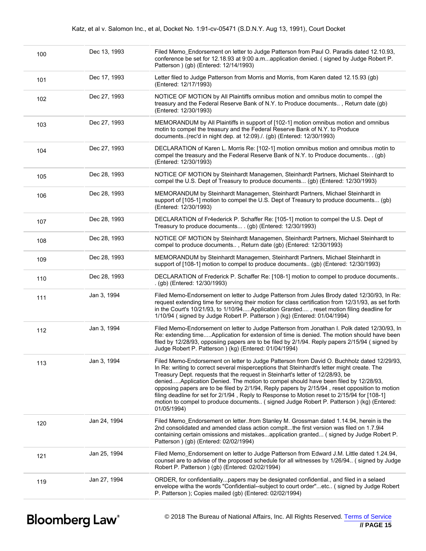| 100 | Dec 13, 1993 | Filed Memo_Endorsement on letter to Judge Patterson from Paul O. Paradis dated 12.10.93,<br>conference be set for 12.18.93 at 9:00 a.mapplication denied. (signed by Judge Robert P.<br>Patterson ) (gb) (Entered: 12/14/1993)                                                                                                                                                                                                                                                                                                                                                                                                                                                |
|-----|--------------|-------------------------------------------------------------------------------------------------------------------------------------------------------------------------------------------------------------------------------------------------------------------------------------------------------------------------------------------------------------------------------------------------------------------------------------------------------------------------------------------------------------------------------------------------------------------------------------------------------------------------------------------------------------------------------|
| 101 | Dec 17, 1993 | Letter filed to Judge Patterson from Morris and Morris, from Karen dated 12.15.93 (gb)<br>(Entered: 12/17/1993)                                                                                                                                                                                                                                                                                                                                                                                                                                                                                                                                                               |
| 102 | Dec 27, 1993 | NOTICE OF MOTION by All Plaintiffs omnibus motion and omnibus motin to compel the<br>treasury and the Federal Reserve Bank of N.Y. to Produce documents, Return date (gb)<br>(Entered: 12/30/1993)                                                                                                                                                                                                                                                                                                                                                                                                                                                                            |
| 103 | Dec 27, 1993 | MEMORANDUM by All Plaintiffs in support of [102-1] motion omnibus motion and omnibus<br>motin to compel the treasury and the Federal Reserve Bank of N.Y. to Produce<br>documents(rec'd in night dep. at 12:09)./. (gb) (Entered: 12/30/1993)                                                                                                                                                                                                                                                                                                                                                                                                                                 |
| 104 | Dec 27, 1993 | DECLARATION of Karen L. Morris Re: [102-1] motion omnibus motion and omnibus motin to<br>compel the treasury and the Federal Reserve Bank of N.Y. to Produce documents . (gb)<br>(Entered: 12/30/1993)                                                                                                                                                                                                                                                                                                                                                                                                                                                                        |
| 105 | Dec 28, 1993 | NOTICE OF MOTION by Steinhardt Managemen, Steinhardt Partners, Michael Steinhardt to<br>compel the U.S. Dept of Treasury to produce documents (gb) (Entered: 12/30/1993)                                                                                                                                                                                                                                                                                                                                                                                                                                                                                                      |
| 106 | Dec 28, 1993 | MEMORANDUM by Steinhardt Managemen, Steinhardt Partners, Michael Steinhardt in<br>support of [105-1] motion to compel the U.S. Dept of Treasury to produce documents (gb)<br>(Entered: 12/30/1993)                                                                                                                                                                                                                                                                                                                                                                                                                                                                            |
| 107 | Dec 28, 1993 | DECLARATION of Fr4ederick P. Schaffer Re: [105-1] motion to compel the U.S. Dept of<br>Treasury to produce documents . (gb) (Entered: 12/30/1993)                                                                                                                                                                                                                                                                                                                                                                                                                                                                                                                             |
| 108 | Dec 28, 1993 | NOTICE OF MOTION by Steinhardt Managemen, Steinhardt Partners, Michael Steinhardt to<br>compel to produce documents, Return date (gb) (Entered: 12/30/1993)                                                                                                                                                                                                                                                                                                                                                                                                                                                                                                                   |
| 109 | Dec 28, 1993 | MEMORANDUM by Steinhardt Managemen, Steinhardt Partners, Michael Steinhardt in<br>support of [108-1] motion to compel to produce documents (gb) (Entered: 12/30/1993)                                                                                                                                                                                                                                                                                                                                                                                                                                                                                                         |
| 110 | Dec 28, 1993 | DECLARATION of Frederick P. Schaffer Re: [108-1] motion to compel to produce documents<br>. (gb) (Entered: 12/30/1993)                                                                                                                                                                                                                                                                                                                                                                                                                                                                                                                                                        |
| 111 | Jan 3, 1994  | Filed Memo-Endorsement on letter to Judge Patterson from Jules Brody dated 12/30/93, In Re:<br>request extending time for serving their motion for class certification from 12/31/93, as set forth<br>in the Court's 10/21/93, to 1/10/94Application Granted, reset motion filing deadline for<br>1/10/94 (signed by Judge Robert P. Patterson) (kg) (Entered: 01/04/1994)                                                                                                                                                                                                                                                                                                    |
| 112 | Jan 3, 1994  | Filed Memo-Endorsement on letter to Judge Patterson from Jonathan I. Polk dated 12/30/93, In<br>Re: extending timeApplication for extension of time is denied. The motion should have been<br>filed by 12/28/93, opposiing papers are to be filed by 2/1/94. Reply papers 2/15/94 (signed by<br>Judge Robert P. Patterson ) (kg) (Entered: 01/04/1994)                                                                                                                                                                                                                                                                                                                        |
| 113 | Jan 3, 1994  | Filed Memo-Endorsement on letter to Judge Patterson from David O. Buchholz dated 12/29/93,<br>In Re: writing to correct several misperceptions that Steinhardt's letter might create. The<br>Treasury Dept. requests that the request in Steinhart's letter of 12/28/93, be<br>deniedApplication Denied. The motion to compel should have been filed by 12/28/93,<br>opposing papers are to be filed by 2/1/94, Reply papers by 2/15/94, reset opposition to motion<br>filing deadline for set for 2/1/94, Reply to Response to Motion reset to 2/15/94 for [108-1]<br>motion to compel to produce documents (signed Judge Robert P. Patterson) (kg) (Entered:<br>01/05/1994) |
| 120 | Jan 24, 1994 | Filed Memo_Endorsement on letterfrom Stanley M. Grossman dated 1.14.94, herein is the<br>2nd consolidated and amended class action compltthe first version was filed on 1.7.9i4<br>containing certain omissions and mistakesapplication granted (signed by Judge Robert P.<br>Patterson ) (gb) (Entered: 02/02/1994)                                                                                                                                                                                                                                                                                                                                                          |
| 121 | Jan 25, 1994 | Filed Memo_Endorsement on letter to Judge Patterson from Edward J.M. Little dated 1.24.94,<br>counsel are to advise of the proposed schedule for all witnesses by 1/26/94. (signed by Judge<br>Robert P. Patterson ) (gb) (Entered: 02/02/1994)                                                                                                                                                                                                                                                                                                                                                                                                                               |
| 119 | Jan 27, 1994 | ORDER, for confidentialitypapers may be designated confidential., and filed in a selaed<br>envelope witha the words "Confidential--subject to court order"etc (signed by Judge Robert<br>P. Patterson ); Copies mailed (gb) (Entered: 02/02/1994)                                                                                                                                                                                                                                                                                                                                                                                                                             |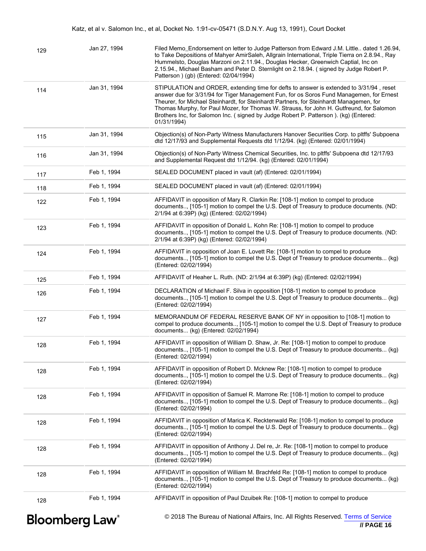| 129 | Jan 27, 1994                      | Filed Memo_Endorsement on letter to Judge Patterson from Edward J.M. Little dated 1.26.94,<br>to Take Depositions of Mahyer AmirSaleh, Allgrain International, Triple Tierra on 2.8.94., Ray<br>Hummelsto, Douglas Marzoni on 2.11.94., Douglas Hecker, Greenwich Captial, Inc on<br>2.15.94., Michael Basham and Peter D. Sternlight on 2.18.94. (signed by Judge Robert P.<br>Patterson ) (gb) (Entered: 02/04/1994)                                                            |
|-----|-----------------------------------|-----------------------------------------------------------------------------------------------------------------------------------------------------------------------------------------------------------------------------------------------------------------------------------------------------------------------------------------------------------------------------------------------------------------------------------------------------------------------------------|
| 114 | Jan 31, 1994                      | STIPULATION and ORDER, extending time for defts to answer is extended to 3/31/94, reset<br>answer due for 3/31/94 for Tiger Management Fun, for os Soros Fund Managemen, for Ernest<br>Theurer, for Michael Steinhardt, for Steinhardt Partners, for Steinhardt Managemen, for<br>Thomas Murphy, for Paul Mozer, for Thomas W. Strauss, for John H. Gutfreund, for Salomon<br>Brothers Inc, for Salomon Inc. (signed by Judge Robert P. Patterson). (kg) (Entered:<br>01/31/1994) |
| 115 | Jan 31, 1994                      | Objection(s) of Non-Party Witness Manufacturers Hanover Securities Corp. to pltffs' Subpoena<br>dtd 12/17/93 and Supplemental Requests dtd 1/12/94. (kg) (Entered: 02/01/1994)                                                                                                                                                                                                                                                                                                    |
| 116 | Jan 31, 1994                      | Objection(s) of Non-Party Witness Chemical Securities, Inc. to pltffs' Subpoena dtd 12/17/93<br>and Supplemental Request dtd 1/12/94. (kg) (Entered: 02/01/1994)                                                                                                                                                                                                                                                                                                                  |
| 117 | Feb 1, 1994                       | SEALED DOCUMENT placed in vault (af) (Entered: 02/01/1994)                                                                                                                                                                                                                                                                                                                                                                                                                        |
| 118 | Feb 1, 1994                       | SEALED DOCUMENT placed in vault (af) (Entered: 02/01/1994)                                                                                                                                                                                                                                                                                                                                                                                                                        |
| 122 | Feb 1, 1994                       | AFFIDAVIT in opposition of Mary R. Clarkin Re: [108-1] motion to compel to produce<br>documents, [105-1] motion to compel the U.S. Dept of Treasury to produce documents. (ND:<br>2/1/94 at 6:39P) (kg) (Entered: 02/02/1994)                                                                                                                                                                                                                                                     |
| 123 | Feb 1, 1994                       | AFFIDAVIT in opposition of Donald L. Kohn Re: [108-1] motion to compel to produce<br>documents, [105-1] motion to compel the U.S. Dept of Treasury to produce documents. (ND:<br>2/1/94 at 6:39P) (kg) (Entered: 02/02/1994)                                                                                                                                                                                                                                                      |
| 124 | Feb 1, 1994                       | AFFIDAVIT in opposition of Joan E. Lovett Re: [108-1] motion to compel to produce<br>documents, [105-1] motion to compel the U.S. Dept of Treasury to produce documents (kg)<br>(Entered: 02/02/1994)                                                                                                                                                                                                                                                                             |
| 125 | Feb 1, 1994                       | AFFIDAVIT of Heaher L. Ruth. (ND: 2/1/94 at 6:39P) (kg) (Entered: 02/02/1994)                                                                                                                                                                                                                                                                                                                                                                                                     |
| 126 | Feb 1, 1994                       | DECLARATION of Michael F. Silva in opposition [108-1] motion to compel to produce<br>documents [105-1] motion to compel the U.S. Dept of Treasury to produce documents (kg)<br>(Entered: 02/02/1994)                                                                                                                                                                                                                                                                              |
| 127 | Feb 1, 1994                       | MEMORANDUM OF FEDERAL RESERVE BANK OF NY in opposition to [108-1] motion to<br>compel to produce documents, [105-1] motion to compel the U.S. Dept of Treasury to produce<br>documents (kg) (Entered: 02/02/1994)                                                                                                                                                                                                                                                                 |
| 128 | Feb 1, 1994                       | AFFIDAVIT in opposition of William D. Shaw, Jr. Re: [108-1] motion to compel to produce<br>documents, [105-1] motion to compel the U.S. Dept of Treasury to produce documents (kg)<br>(Entered: 02/02/1994)                                                                                                                                                                                                                                                                       |
| 128 | Feb 1, 1994                       | AFFIDAVIT in opposition of Robert D. Mcknew Re: [108-1] motion to compel to produce<br>documents [105-1] motion to compel the U.S. Dept of Treasury to produce documents (kg)<br>(Entered: 02/02/1994)                                                                                                                                                                                                                                                                            |
| 128 | Feb 1, 1994                       | AFFIDAVIT in opposition of Samuel R. Marrone Re: [108-1] motion to compel to produce<br>documents [105-1] motion to compel the U.S. Dept of Treasury to produce documents (kg)<br>(Entered: 02/02/1994)                                                                                                                                                                                                                                                                           |
| 128 | Feb 1, 1994                       | AFFIDAVIT in opposition of Marica K. Recktenwald Re: [108-1] motion to compel to produce<br>documents [105-1] motion to compel the U.S. Dept of Treasury to produce documents (kg)<br>(Entered: 02/02/1994)                                                                                                                                                                                                                                                                       |
| 128 | Feb 1, 1994                       | AFFIDAVIT in opposition of Anthony J. Del re, Jr. Re: [108-1] motion to compel to produce<br>documents [105-1] motion to compel the U.S. Dept of Treasury to produce documents (kg)<br>(Entered: 02/02/1994)                                                                                                                                                                                                                                                                      |
| 128 | Feb 1, 1994                       | AFFIDAVIT in opposition of William M. Brachfeld Re: [108-1] motion to compel to produce<br>documents [105-1] motion to compel the U.S. Dept of Treasury to produce documents (kg)<br>(Entered: 02/02/1994)                                                                                                                                                                                                                                                                        |
| 128 | Feb 1, 1994                       | AFFIDAVIT in opposition of Paul Dzuibek Re: [108-1] motion to compel to produce                                                                                                                                                                                                                                                                                                                                                                                                   |
|     | <b>Bloomberg Law</b> <sup>®</sup> | © 2018 The Bureau of National Affairs, Inc. All Rights Reserved. Terms of Service<br>// PAGE 16                                                                                                                                                                                                                                                                                                                                                                                   |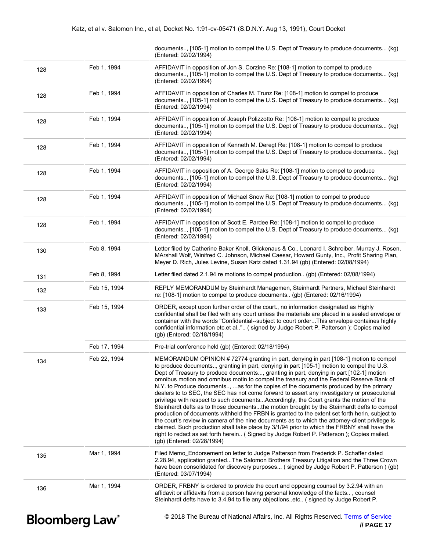|     |                                   | documents [105-1] motion to compel the U.S. Dept of Treasury to produce documents (kg)<br>(Entered: 02/02/1994)                                                                                                                                                                                                                                                                                                                                                                                                                                                                                                                                                                                                                                                                                                                                                                                                                                                                                                                                                                                                                                                                           |
|-----|-----------------------------------|-------------------------------------------------------------------------------------------------------------------------------------------------------------------------------------------------------------------------------------------------------------------------------------------------------------------------------------------------------------------------------------------------------------------------------------------------------------------------------------------------------------------------------------------------------------------------------------------------------------------------------------------------------------------------------------------------------------------------------------------------------------------------------------------------------------------------------------------------------------------------------------------------------------------------------------------------------------------------------------------------------------------------------------------------------------------------------------------------------------------------------------------------------------------------------------------|
| 128 | Feb 1, 1994                       | AFFIDAVIT in opposition of Jon S. Corzine Re: [108-1] motion to compel to produce<br>documents, [105-1] motion to compel the U.S. Dept of Treasury to produce documents (kg)<br>(Entered: 02/02/1994)                                                                                                                                                                                                                                                                                                                                                                                                                                                                                                                                                                                                                                                                                                                                                                                                                                                                                                                                                                                     |
| 128 | Feb 1, 1994                       | AFFIDAVIT in opposition of Charles M. Trunz Re: [108-1] motion to compel to produce<br>documents [105-1] motion to compel the U.S. Dept of Treasury to produce documents (kg)<br>(Entered: 02/02/1994)                                                                                                                                                                                                                                                                                                                                                                                                                                                                                                                                                                                                                                                                                                                                                                                                                                                                                                                                                                                    |
| 128 | Feb 1, 1994                       | AFFIDAVIT in opposition of Joseph Polizzotto Re: [108-1] motion to compel to produce<br>documents, [105-1] motion to compel the U.S. Dept of Treasury to produce documents (kg)<br>(Entered: 02/02/1994)                                                                                                                                                                                                                                                                                                                                                                                                                                                                                                                                                                                                                                                                                                                                                                                                                                                                                                                                                                                  |
| 128 | Feb 1, 1994                       | AFFIDAVIT in opposition of Kenneth M. Deregt Re: [108-1] motion to compel to produce<br>documents, [105-1] motion to compel the U.S. Dept of Treasury to produce documents (kg)<br>(Entered: 02/02/1994)                                                                                                                                                                                                                                                                                                                                                                                                                                                                                                                                                                                                                                                                                                                                                                                                                                                                                                                                                                                  |
| 128 | Feb 1, 1994                       | AFFIDAVIT in opposition of A. George Saks Re: [108-1] motion to compel to produce<br>documents [105-1] motion to compel the U.S. Dept of Treasury to produce documents (kg)<br>(Entered: 02/02/1994)                                                                                                                                                                                                                                                                                                                                                                                                                                                                                                                                                                                                                                                                                                                                                                                                                                                                                                                                                                                      |
| 128 | Feb 1, 1994                       | AFFIDAVIT in opposition of Michael Snow Re: [108-1] motion to compel to produce<br>documents [105-1] motion to compel the U.S. Dept of Treasury to produce documents (kg)<br>(Entered: 02/02/1994)                                                                                                                                                                                                                                                                                                                                                                                                                                                                                                                                                                                                                                                                                                                                                                                                                                                                                                                                                                                        |
| 128 | Feb 1, 1994                       | AFFIDAVIT in opposition of Scott E. Pardee Re: [108-1] motion to compel to produce<br>documents [105-1] motion to compel the U.S. Dept of Treasury to produce documents (kg)<br>(Entered: 02/02/1994)                                                                                                                                                                                                                                                                                                                                                                                                                                                                                                                                                                                                                                                                                                                                                                                                                                                                                                                                                                                     |
| 130 | Feb 8, 1994                       | Letter filed by Catherine Baker Knoll, Glickenaus & Co., Leonard I. Schreiber, Murray J. Rosen,<br>MArshall Wolf, Winifred C. Johnson, Michael Caesar, Howard Gunty, Inc., Profit Sharing Plan,<br>Meyer D. Rich, Jules Levine, Susan Katz dated 1.31.94 (gb) (Entered: 02/08/1994)                                                                                                                                                                                                                                                                                                                                                                                                                                                                                                                                                                                                                                                                                                                                                                                                                                                                                                       |
| 131 | Feb 8, 1994                       | Letter filed dated 2.1.94 re motions to compel production (gb) (Entered: 02/08/1994)                                                                                                                                                                                                                                                                                                                                                                                                                                                                                                                                                                                                                                                                                                                                                                                                                                                                                                                                                                                                                                                                                                      |
| 132 | Feb 15, 1994                      | REPLY MEMORANDUM by Steinhardt Managemen, Steinhardt Partners, Michael Steinhardt<br>re: [108-1] motion to compel to produce documents (gb) (Entered: 02/16/1994)                                                                                                                                                                                                                                                                                                                                                                                                                                                                                                                                                                                                                                                                                                                                                                                                                                                                                                                                                                                                                         |
| 133 | Feb 15, 1994                      | ORDER, except upon further order of the court., no information designated as Highly<br>confidential shall be filed with any court unless the materials are placed in a sealed envelope or<br>container with the words "Confidential--subject to court orderThis envelope containes highly<br>confidential information etc.et al" ( signed by Judge Robert P. Patterson ); Copies mailed<br>(gb) (Entered: 02/18/1994)                                                                                                                                                                                                                                                                                                                                                                                                                                                                                                                                                                                                                                                                                                                                                                     |
|     | Feb 17, 1994                      | Pre-trial conference held (gb) (Entered: 02/18/1994)                                                                                                                                                                                                                                                                                                                                                                                                                                                                                                                                                                                                                                                                                                                                                                                                                                                                                                                                                                                                                                                                                                                                      |
| 134 | Feb 22, 1994                      | MEMORANDUM OPINION #72774 granting in part, denying in part [108-1] motion to compel<br>to produce documents, granting in part, denying in part [105-1] motion to compel the U.S.<br>Dept of Treasury to produce documents, granting in part, denying in part [102-1] motion<br>omnibus motion and omnibus motin to compel the treasury and the Federal Reserve Bank of<br>N.Y. to Produce documents,  as for the copies of the documents produced by the primary<br>dealers to to SEC, the SEC has not come forward to assert any investigatory or prosecutorial<br>privilege with respect to such documentsAccordingly, the Court grants the motion of the<br>Steinhardt defts as to those documentsthe motion brought by the Steinhardt defts to compel<br>production of documents withheld the FRBN is granted to the extent set forth herin, subject to<br>the court's review in camera of the nine documents as to which the attorney-client privilege is<br>claimed. Such production shall take place by 3/1/94 prior to which the FRBNY shall have the<br>right to redact as set forth herein (Signed by Judge Robert P. Patterson); Copies mailed.<br>(gb) (Entered: 02/28/1994) |
| 135 | Mar 1, 1994                       | Filed Memo_Endorsement on letter to Judge Patterson from Frederick P. Schaffer dated<br>2.28.94, application grantedThe Salomon Brothers Treasury Litigation and the Three Crown<br>have been consolidated for discovery purposes (signed by Judge Robert P. Patterson) (gb)<br>(Entered: 03/07/1994)                                                                                                                                                                                                                                                                                                                                                                                                                                                                                                                                                                                                                                                                                                                                                                                                                                                                                     |
| 136 | Mar 1, 1994                       | ORDER, FRBNY is ordered to provide the court and opposing counsel by 3.2.94 with an<br>affidavit or affidavits from a person having personal knowledge of the facts, counsel<br>Steinhardt defts have to 3.4.94 to file any objectionsetc (signed by Judge Robert P.                                                                                                                                                                                                                                                                                                                                                                                                                                                                                                                                                                                                                                                                                                                                                                                                                                                                                                                      |
|     | <b>Bloomberg Law</b> <sup>®</sup> | © 2018 The Bureau of National Affairs, Inc. All Rights Reserved. Terms of Service<br>// PAGE 17                                                                                                                                                                                                                                                                                                                                                                                                                                                                                                                                                                                                                                                                                                                                                                                                                                                                                                                                                                                                                                                                                           |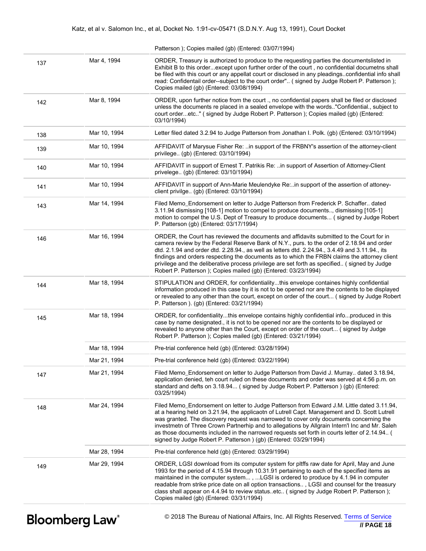|     |              | Patterson ); Copies mailed (gb) (Entered: 03/07/1994)                                                                                                                                                                                                                                                                                                                                                                                                                                                                                                       |
|-----|--------------|-------------------------------------------------------------------------------------------------------------------------------------------------------------------------------------------------------------------------------------------------------------------------------------------------------------------------------------------------------------------------------------------------------------------------------------------------------------------------------------------------------------------------------------------------------------|
| 137 | Mar 4, 1994  | ORDER, Treasury is authorized to produce to the requesting parties the documentslisted in<br>Exhibit B to this orderexcept upon further order of the court, no confidential documetns shall<br>be filed with this court or any appellat court or disclosed in any pleadingsconfidential info shall<br>read: Confidentail order--subject to the court order" (signed by Judge Robert P. Patterson);<br>Copies mailed (gb) (Entered: 03/08/1994)                                                                                                              |
| 142 | Mar 8, 1994  | ORDER, upon further notice from the court ., no confidential papers shall be filed or disclosed<br>unless the documents re placed in a sealed envelope with the words"Confidential., subject to<br>court orderetc" (signed by Judge Robert P. Patterson); Copies mailed (gb) (Entered:<br>03/10/1994)                                                                                                                                                                                                                                                       |
| 138 | Mar 10, 1994 | Letter filed dated 3.2.94 to Judge Patterson from Jonathan I. Polk. (gb) (Entered: 03/10/1994)                                                                                                                                                                                                                                                                                                                                                                                                                                                              |
| 139 | Mar 10, 1994 | AFFIDAVIT of Marysue Fisher Re: in support of the FRBNY's assertion of the attorney-client<br>privilege (gb) (Entered: 03/10/1994)                                                                                                                                                                                                                                                                                                                                                                                                                          |
| 140 | Mar 10, 1994 | AFFIDAVIT in support of Ernest T. Patrikis Re: in support of Assertion of Attorney-Client<br>privelege (gb) (Entered: 03/10/1994)                                                                                                                                                                                                                                                                                                                                                                                                                           |
| 141 | Mar 10, 1994 | AFFIDAVIT in support of Ann-Marie Meulendyke Re:in support of the assertion of attoney-<br>client privilge (gb) (Entered: 03/10/1994)                                                                                                                                                                                                                                                                                                                                                                                                                       |
| 143 | Mar 14, 1994 | Filed Memo_Endorsement on letter to Judge Patterson from Frederick P. Schaffer dated<br>3.11.94 dismissing [108-1] motion to compel to produce documents, dismissing [105-1]<br>motion to compel the U.S. Dept of Treasury to produce documents (signed by Judge Robert<br>P. Patterson (qb) (Entered: 03/17/1994)                                                                                                                                                                                                                                          |
| 146 | Mar 16, 1994 | ORDER, the Court has reviewed the documents and affidavits submitted to the Court for in<br>camera review by the Federal Reserve Bank of N.Y., purs. to the order of 2.18.94 and order<br>dtd. 2.1.94 and order dtd. 2.28.94., as well as letters dtd. 2.24.94., 3.4.49 and 3.11.94., its<br>findings and orders respecting the documents as to which the FRBN claims the attorney client<br>privilege and the deliberative process privilege are set forth as specified (signed by Judge<br>Robert P. Patterson); Copies mailed (gb) (Entered: 03/23/1994) |
| 144 | Mar 18, 1994 | STIPULATION and ORDER, for confidentialitythis envelope containes highly confidential<br>information produced in this case by it is not to be opened nor are the contents to be displayed<br>or revealed to any other than the court, except on order of the court (signed by Judge Robert<br>P. Patterson ). (gb) (Entered: 03/21/1994)                                                                                                                                                                                                                    |
| 145 | Mar 18, 1994 | ORDER, for confidentialitythis envelope contains highly confidential infoproduced in this<br>case by name designated., it is not to be opened nor are the contents to be displayed or<br>revealed to anyone other than the Court, except on order of the court (signed by Judge<br>Robert P. Patterson); Copies mailed (gb) (Entered: 03/21/1994)                                                                                                                                                                                                           |
|     | Mar 18, 1994 | Pre-trial conference held (gb) (Entered: 03/28/1994)                                                                                                                                                                                                                                                                                                                                                                                                                                                                                                        |
|     | Mar 21, 1994 | Pre-trial conference held (gb) (Entered: 03/22/1994)                                                                                                                                                                                                                                                                                                                                                                                                                                                                                                        |
| 147 | Mar 21, 1994 | Filed Memo_Endorsement on letter to Judge Patterson from David J. Murray dated 3.18.94,<br>application denied, teh court ruled on these documents and order was served at 4:56 p.m. on<br>standard and defts on 3.18.94 (signed by Judge Robert P. Patterson) (gb) (Entered:<br>03/25/1994)                                                                                                                                                                                                                                                                 |
| 148 | Mar 24, 1994 | Filed Memo_Endorsement on letter to Judge Patterson from Edward J.M. Little dated 3.11.94,<br>at a hearing held on 3.21.94, the applicaotn of Lutrell Capt. Management and D. Scott Lutrell<br>was granted. The discovery request was narrowed to cover only documents concerning the<br>investmetn of Three Crown Partnerhip and to allegations by Allgrain Intern'l Inc and Mr. Saleh<br>as those documents included in the narrowed requests set forth in courts letter of 2.14.94 (<br>signed by Judge Robert P. Patterson ) (gb) (Entered: 03/29/1994) |
|     | Mar 28, 1994 | Pre-trial conference held (gb) (Entered: 03/29/1994)                                                                                                                                                                                                                                                                                                                                                                                                                                                                                                        |
| 149 | Mar 29, 1994 | ORDER, LGSI download from its computer system for pltffs raw date for April, May and June<br>1993 for the period of 4.15.94 through 10.31.91 pertaining to each of the specified items as<br>maintained in the computer system,  LGSI is ordered to produce by 4.1.94 in computer<br>readable from strike price date on all option transactions, LGSI and counsel for the treasury<br>class shall appear on 4.4.94 to review statusetc (signed by Judge Robert P. Patterson);                                                                               |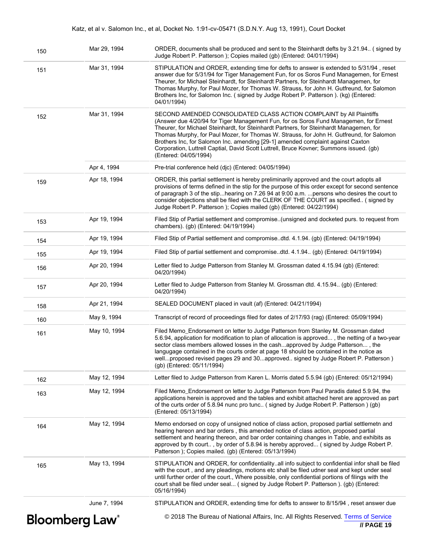### Katz, et al v. Salomon Inc., et al, Docket No. 1:91-cv-05471 (S.D.N.Y. Aug 13, 1991), Court Docket

| 150 | Mar 29, 1994                      | ORDER, documents shall be produced and sent to the Steinhardt defts by 3.21.94 (signed by<br>Judge Robert P. Patterson ); Copies mailed (gb) (Entered: 04/01/1994)                                                                                                                                                                                                                                                                                                                                                                                          |
|-----|-----------------------------------|-------------------------------------------------------------------------------------------------------------------------------------------------------------------------------------------------------------------------------------------------------------------------------------------------------------------------------------------------------------------------------------------------------------------------------------------------------------------------------------------------------------------------------------------------------------|
| 151 | Mar 31, 1994                      | STIPULATION and ORDER, extending time for defts to answer is extended to 5/31/94, reset<br>answer due for 5/31/94 for Tiger Management Fun, for os Soros Fund Managemen, for Ernest<br>Theurer, for Michael Steinhardt, for Steinhardt Partners, for Steinhardt Managemen, for<br>Thomas Murphy, for Paul Mozer, for Thomas W. Strauss, for John H. Gutfreund, for Salomon<br>Brothers Inc, for Salomon Inc. (signed by Judge Robert P. Patterson). (kg) (Entered:<br>04/01/1994)                                                                           |
| 152 | Mar 31, 1994                      | SECOND AMENDED CONSOLIDATED CLASS ACTION COMPLAINT by All Plaintiffs<br>(Answer due 4/20/94 for Tiger Management Fun, for os Soros Fund Managemen, for Ernest<br>Theurer, for Michael Steinhardt, for Steinhardt Partners, for Steinhardt Managemen, for<br>Thomas Murphy, for Paul Mozer, for Thomas W. Strauss, for John H. Gutfreund, for Salomon<br>Brothers Inc, for Salomon Inc. amending [29-1] amended complaint against Caxton<br>Corporation, Luttrell Captial, David Scott Luttrell, Bruce Kovner; Summons issued. (gb)<br>(Entered: 04/05/1994) |
|     | Apr 4, 1994                       | Pre-trial conference held (djc) (Entered: 04/05/1994)                                                                                                                                                                                                                                                                                                                                                                                                                                                                                                       |
| 159 | Apr 18, 1994                      | ORDER, this partial settlement is hereby preliminarily approved and the court adopts all<br>provisions of terms defined in the stip for the purpose of this order except for second sentence<br>of paragraph 3 of the stiphearing on 7.26 94 at 9:00 a.m. persons who desires the court to<br>consider objections shall be filed with the CLERK OF THE COURT as specified (signed by<br>Judge Robert P. Patterson ); Copies mailed (gb) (Entered: 04/22/1994)                                                                                               |
| 153 | Apr 19, 1994                      | Filed Stip of Partial settlement and compromise. (unsigned and docketed purs. to request from<br>chambers). (ab) (Entered: 04/19/1994)                                                                                                                                                                                                                                                                                                                                                                                                                      |
| 154 | Apr 19, 1994                      | Filed Stip of Partial settlement and compromisedtd. 4.1.94. (gb) (Entered: 04/19/1994)                                                                                                                                                                                                                                                                                                                                                                                                                                                                      |
| 155 | Apr 19, 1994                      | Filed Stip of partial settlement and compromisedtd. 4.1.94 (gb) (Entered: 04/19/1994)                                                                                                                                                                                                                                                                                                                                                                                                                                                                       |
| 156 | Apr 20, 1994                      | Letter filed to Judge Patterson from Stanley M. Grossman dated 4.15.94 (gb) (Entered:<br>04/20/1994)                                                                                                                                                                                                                                                                                                                                                                                                                                                        |
| 157 | Apr 20, 1994                      | Letter filed to Judge Patterson from Stanley M. Grossman dtd. 4.15.94 (gb) (Entered:<br>04/20/1994)                                                                                                                                                                                                                                                                                                                                                                                                                                                         |
| 158 | Apr 21, 1994                      | SEALED DOCUMENT placed in vault (af) (Entered: 04/21/1994)                                                                                                                                                                                                                                                                                                                                                                                                                                                                                                  |
| 160 | May 9, 1994                       | Transcript of record of proceedings filed for dates of 2/17/93 (rag) (Entered: 05/09/1994)                                                                                                                                                                                                                                                                                                                                                                                                                                                                  |
| 161 | May 10, 1994                      | Filed Memo Endorsement on letter to Judge Patterson from Stanley M. Grossman dated<br>5.6.94, application for modification to plan of allocation is approved, the netting of a two-year<br>sector class members allowed losses in the cashapproved by Judge Patterson, the<br>langugage contained in the courts order at page 18 should be contained in the notice as<br>wellproposed revised pages 29 and 30approved signed by Judge Robert P. Patterson)<br>(gb) (Entered: 05/11/1994)                                                                    |
| 162 | May 12, 1994                      | Letter filed to Judge Patterson from Karen L. Morris dated 5.5.94 (gb) (Entered: 05/12/1994)                                                                                                                                                                                                                                                                                                                                                                                                                                                                |
| 163 | May 12, 1994                      | Filed Memo_Endorsement on letter to Judge Patterson from Paul Paradis dated 5.9.94, the<br>applications herein is approved and the tables and exhibit attached heret are approved as part<br>of the curts order of 5.8.94 nunc pro tunc (signed by Judge Robert P. Patterson) (gb)<br>(Entered: 05/13/1994)                                                                                                                                                                                                                                                 |
| 164 | May 12, 1994                      | Memo endorsed on copy of unsigned notice of class action, proposed partial settlemeth and<br>hearing hereon and bar orders, this amended notice of class action, proposed partial<br>settlement and hearing thereon, and bar order containing changes in Table, and exhibits as<br>approved by th court, by order of 5.8.94 is hereby approved (signed by Judge Robert P.<br>Patterson ); Copies mailed. (gb) (Entered: 05/13/1994)                                                                                                                         |
| 165 | May 13, 1994                      | STIPULATION and ORDER, for confidentialityall info subject to confidential infor shall be filed<br>with the court, and any pleadings, motions etc shall be filed udner seal and kept under seal<br>until further order of the court., Where possible, only confidential portions of filings with the<br>court shall be filed under seal (signed by Judge Robert P. Patterson ). (gb) (Entered:<br>05/16/1994)                                                                                                                                               |
|     | June 7, 1994                      | STIPULATION and ORDER, extending time for defts to answer to 8/15/94, reset answer due                                                                                                                                                                                                                                                                                                                                                                                                                                                                      |
|     | <b>Bloomberg Law</b> <sup>®</sup> | © 2018 The Bureau of National Affairs, Inc. All Rights Reserved. Terms of Service<br>// PAGE 19                                                                                                                                                                                                                                                                                                                                                                                                                                                             |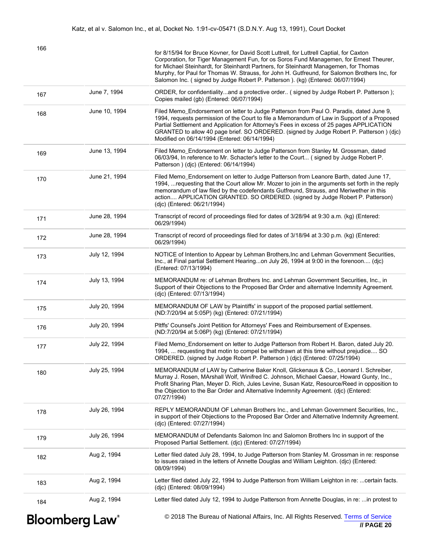| 166                               |               | for 8/15/94 for Bruce Kovner, for David Scott Luttrell, for Luttrell Captial, for Caxton<br>Corporation, for Tiger Management Fun, for os Soros Fund Managemen, for Ernest Theurer,<br>for Michael Steinhardt, for Steinhardt Partners, for Steinhardt Managemen, for Thomas<br>Murphy, for Paul for Thomas W. Strauss, for John H. Gutfreund, for Salomon Brothers Inc, for<br>Salomon Inc. (signed by Judge Robert P. Patterson ). (kg) (Entered: 06/07/1994) |
|-----------------------------------|---------------|-----------------------------------------------------------------------------------------------------------------------------------------------------------------------------------------------------------------------------------------------------------------------------------------------------------------------------------------------------------------------------------------------------------------------------------------------------------------|
| 167                               | June 7, 1994  | ORDER, for confidentialityand a protective order (signed by Judge Robert P. Patterson);<br>Copies mailed (gb) (Entered: 06/07/1994)                                                                                                                                                                                                                                                                                                                             |
| 168                               | June 10, 1994 | Filed Memo_Endorsement on letter to Judge Patterson from Paul O. Paradis, dated June 9,<br>1994, requests permission of the Court to file a Memorandum of Law in Support of a Proposed<br>Partial Settlement and Application for Attorney's Fees in excess of 25 pages APPLICATION<br>GRANTED to allow 40 page brief. SO ORDERED. (signed by Judge Robert P. Patterson) (djc)<br>Modified on 06/14/1994 (Entered: 06/14/1994)                                   |
| 169                               | June 13, 1994 | Filed Memo_Endorsement on letter to Judge Patterson from Stanley M. Grossman, dated<br>06/03/94, In reference to Mr. Schacter's letter to the Court (signed by Judge Robert P.<br>Patterson ) (djc) (Entered: 06/14/1994)                                                                                                                                                                                                                                       |
| 170                               | June 21, 1994 | Filed Memo_Endorsement on letter to Judge Patterson from Leanore Barth, dated June 17,<br>1994,  requesting that the Court allow Mr. Mozer to join in the arguments set forth in the reply<br>memorandum of law filed by the codefendants Gutfreund, Strauss, and Meriwether in this<br>action APPLICATION GRANTED. SO ORDERED. (signed by Judge Robert P. Patterson)<br>(djc) (Entered: 06/21/1994)                                                            |
| 171                               | June 28, 1994 | Transcript of record of proceedings filed for dates of 3/28/94 at 9:30 a.m. (kg) (Entered:<br>06/29/1994)                                                                                                                                                                                                                                                                                                                                                       |
| 172                               | June 28, 1994 | Transcript of record of proceedings filed for dates of 3/18/94 at 3:30 p.m. (kg) (Entered:<br>06/29/1994)                                                                                                                                                                                                                                                                                                                                                       |
| 173                               | July 12, 1994 | NOTICE of Intention to Appear by Lehman Brothers, Inc and Lehman Government Securities,<br>Inc., at Final partial Settlement Hearingon July 26, 1994 at 9:00 in the forenoon (djc)<br>(Entered: 07/13/1994)                                                                                                                                                                                                                                                     |
| 174                               | July 13, 1994 | MEMORANDUM re: of Lehman Brothers Inc. and Lehman Government Securities, Inc., in<br>Support of their Objections to the Proposed Bar Order and alternative Indemnity Agreement.<br>(djc) (Entered: 07/13/1994)                                                                                                                                                                                                                                                  |
| 175                               | July 20, 1994 | MEMORANDUM OF LAW by Plaintiffs' in support of the proposed partial settlement.<br>(ND:7/20/94 at 5:05P) (kg) (Entered: 07/21/1994)                                                                                                                                                                                                                                                                                                                             |
| 176                               | July 20, 1994 | Pltffs' Counsel's Joint Petition for Attorneys' Fees and Reimbursement of Expenses.<br>(ND:7/20/94 at 5:06P) (kg) (Entered: 07/21/1994)                                                                                                                                                                                                                                                                                                                         |
| 177                               | July 22, 1994 | Filed Memo_Endorsement on letter to Judge Patterson from Robert H. Baron, dated July 20.<br>1994,  requesting that motin to compel be withdrawn at this time without prejudice SO<br>ORDERED. (signed by Judge Robert P. Patterson) (djc) (Entered: 07/25/1994)                                                                                                                                                                                                 |
| 180                               | July 25, 1994 | MEMORANDUM of LAW by Catherine Baker Knoll, Glickenaus & Co., Leonard I. Schreiber,<br>Murray J. Rosen, MArshall Wolf, Winifred C. Johnson, Michael Caesar, Howard Gunty, Inc.,<br>Profit Sharing Plan, Meyer D. Rich, Jules Levine, Susan Katz, Resource/Reed in opposition to<br>the Objection to the Bar Order and Alternative Indemnity Agreement. (djc) (Entered:<br>07/27/1994)                                                                           |
| 178                               | July 26, 1994 | REPLY MEMORANDUM OF Lehman Brothers Inc., and Lehman Government Securities, Inc.,<br>in support of their Objections to the Proposed Bar Order and Alternative Indemnity Agreement.<br>(djc) (Entered: 07/27/1994)                                                                                                                                                                                                                                               |
| 179                               | July 26, 1994 | MEMORANDUM of Defendants Salomon Inc and Salomon Brothers Inc in support of the<br>Proposed Partial Settlement. (djc) (Entered: 07/27/1994)                                                                                                                                                                                                                                                                                                                     |
| 182                               | Aug 2, 1994   | Letter filed dated July 28, 1994, to Judge Patterson from Stanley M. Grossman in re: response<br>to issues raised in the letters of Annette Douglas and William Leighton. (djc) (Entered:<br>08/09/1994)                                                                                                                                                                                                                                                        |
| 183                               | Aug 2, 1994   | Letter filed dated July 22, 1994 to Judge Patterson from William Leighton in re: certain facts.<br>(djc) (Entered: 08/09/1994)                                                                                                                                                                                                                                                                                                                                  |
| 184                               | Aug 2, 1994   | Letter filed dated July 12, 1994 to Judge Patterson from Annette Douglas, in re:  in protest to                                                                                                                                                                                                                                                                                                                                                                 |
| <b>Bloomberg Law</b> <sup>®</sup> |               | © 2018 The Bureau of National Affairs, Inc. All Rights Reserved. Terms of Service<br>$II$ PAGE 20                                                                                                                                                                                                                                                                                                                                                               |

 **// PAGE 20**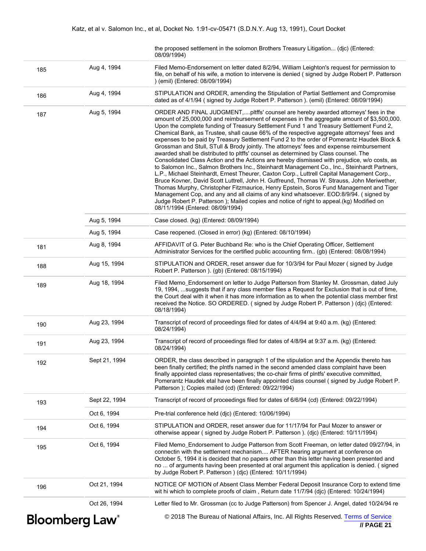|     |                                   | the proposed settlement in the solomon Brothers Treasury Litigation (dic) (Entered:<br>08/09/1994)                                                                                                                                                                                                                                                                                                                                                                                                                                                                                                                                                                                                                                                                                                                                                                                                                                                                                                                                                                                                                                                                                                                                                                                                                                                                        |
|-----|-----------------------------------|---------------------------------------------------------------------------------------------------------------------------------------------------------------------------------------------------------------------------------------------------------------------------------------------------------------------------------------------------------------------------------------------------------------------------------------------------------------------------------------------------------------------------------------------------------------------------------------------------------------------------------------------------------------------------------------------------------------------------------------------------------------------------------------------------------------------------------------------------------------------------------------------------------------------------------------------------------------------------------------------------------------------------------------------------------------------------------------------------------------------------------------------------------------------------------------------------------------------------------------------------------------------------------------------------------------------------------------------------------------------------|
| 185 | Aug 4, 1994                       | Filed Memo-Endorsement on letter dated 8/2/94, William Leighton's request for permission to<br>file, on behalf of his wife, a motion to intervene is denied (signed by Judge Robert P. Patterson<br>) (emil) (Entered: 08/09/1994)                                                                                                                                                                                                                                                                                                                                                                                                                                                                                                                                                                                                                                                                                                                                                                                                                                                                                                                                                                                                                                                                                                                                        |
| 186 | Aug 4, 1994                       | STIPULATION and ORDER, amending the Stipulation of Partial Settlement and Compromise<br>dated as of 4/1/94 (signed by Judge Robert P. Patterson). (emil) (Entered: 08/09/1994)                                                                                                                                                                                                                                                                                                                                                                                                                                                                                                                                                                                                                                                                                                                                                                                                                                                                                                                                                                                                                                                                                                                                                                                            |
| 187 | Aug 5, 1994                       | ORDER AND FINAL JUDGMENT,pltffs' counsel are hereby awarded attorneys' fees in the<br>amount of 25,000,000 and reimbursement of expenses in the aggregate amount of \$3,500,000.<br>Upon the complete funding of Treasury Settlement Fund 1 and Treasury Settlement Fund 2,<br>Chemical Bank, as Trustee, shall cause 66% of the respective aggregate attorneys' fees and<br>expenses to be paid by Treasury Settlement Fund 2 to the order of Pomerantz Haudek Block &<br>Grossman and Stull, STull & Brody jointly. The attorneys' fees and expense reimbursement<br>awarded shall be distributed to pltffs' counsel as determined by Class counsel. The<br>Consolidated Class Action and the Actions are hereby dismissed with prejudice, w/o costs, as<br>to Salomon Inc., Salmon Brothers Inc., Steinhardt Management Co., Inc., Steinhardt Partners,<br>L.P., Michael Steinhardt, Ernest Theurer, Caxton Corp., Luttrell Capital Management Corp.,<br>Bruce Kovner, David Scott Luttrell, John H. Gutfreund, Thomas W. Strauss, John Meriwether,<br>Thomas Murphy, Christopher Fitzmaurice, Henry Epstein, Soros Fund Management and Tiger<br>Management Cop, and any and all claims of any kind whatsoever. EOD:8/9/94. (signed by<br>Judge Robert P. Patterson); Mailed copies and notice of right to appeal.(kg) Modified on<br>08/11/1994 (Entered: 08/09/1994) |
|     | Aug 5, 1994                       | Case closed. (kg) (Entered: 08/09/1994)                                                                                                                                                                                                                                                                                                                                                                                                                                                                                                                                                                                                                                                                                                                                                                                                                                                                                                                                                                                                                                                                                                                                                                                                                                                                                                                                   |
|     | Aug 5, 1994                       | Case reopened. (Closed in error) (kg) (Entered: 08/10/1994)                                                                                                                                                                                                                                                                                                                                                                                                                                                                                                                                                                                                                                                                                                                                                                                                                                                                                                                                                                                                                                                                                                                                                                                                                                                                                                               |
| 181 | Aug 8, 1994                       | AFFIDAVIT of G. Peter Buchband Re: who is the Chief Operating Officer, Settlement<br>Administrator Services for the certified public accounting firm (gb) (Entered: 08/08/1994)                                                                                                                                                                                                                                                                                                                                                                                                                                                                                                                                                                                                                                                                                                                                                                                                                                                                                                                                                                                                                                                                                                                                                                                           |
| 188 | Aug 15, 1994                      | STIPULATION and ORDER, reset answer due for 10/3/94 for Paul Mozer (signed by Judge<br>Robert P. Patterson ). (gb) (Entered: 08/15/1994)                                                                                                                                                                                                                                                                                                                                                                                                                                                                                                                                                                                                                                                                                                                                                                                                                                                                                                                                                                                                                                                                                                                                                                                                                                  |
| 189 | Aug 18, 1994                      | Filed Memo_Endorsement on letter to Judge Patterson from Stanley M. Grossman, dated July<br>19, 1994, suggests that if any class member files a Request for Exclusion that is out of time,<br>the Court deal with it when it has more information as to when the potential class member first<br>received the Notice. SO ORDERED. (signed by Judge Robert P. Patterson) (djc) (Entered:<br>08/18/1994)                                                                                                                                                                                                                                                                                                                                                                                                                                                                                                                                                                                                                                                                                                                                                                                                                                                                                                                                                                    |
| 190 | Aug 23, 1994                      | Transcript of record of proceedings filed for dates of 4/4/94 at 9:40 a.m. (kg) (Entered:<br>08/24/1994)                                                                                                                                                                                                                                                                                                                                                                                                                                                                                                                                                                                                                                                                                                                                                                                                                                                                                                                                                                                                                                                                                                                                                                                                                                                                  |
| 191 | Aug 23, 1994                      | Transcript of record of proceedings filed for dates of 4/8/94 at 9:37 a.m. (kg) (Entered:<br>08/24/1994)                                                                                                                                                                                                                                                                                                                                                                                                                                                                                                                                                                                                                                                                                                                                                                                                                                                                                                                                                                                                                                                                                                                                                                                                                                                                  |
| 192 | Sept 21, 1994                     | ORDER, the class described in paragraph 1 of the stipulation and the Appendix thereto has<br>been finally certified; the pintfs named in the second amended class complaint have been<br>finally appointed class representatives; the co-chair firms of plntfs' executive committed,<br>Pomerantz Haudek etal have been finally appointed class counsel (signed by Judge Robert P.<br>Patterson ); Copies mailed (cd) (Entered: 09/22/1994)                                                                                                                                                                                                                                                                                                                                                                                                                                                                                                                                                                                                                                                                                                                                                                                                                                                                                                                               |
| 193 | Sept 22, 1994                     | Transcript of record of proceedings filed for dates of 6/6/94 (cd) (Entered: 09/22/1994)                                                                                                                                                                                                                                                                                                                                                                                                                                                                                                                                                                                                                                                                                                                                                                                                                                                                                                                                                                                                                                                                                                                                                                                                                                                                                  |
|     | Oct 6, 1994                       | Pre-trial conference held (dic) (Entered: 10/06/1994)                                                                                                                                                                                                                                                                                                                                                                                                                                                                                                                                                                                                                                                                                                                                                                                                                                                                                                                                                                                                                                                                                                                                                                                                                                                                                                                     |
| 194 | Oct 6, 1994                       | STIPULATION and ORDER, reset answer due for 11/17/94 for Paul Mozer to answer or<br>otherwise appear (signed by Judge Robert P. Patterson). (djc) (Entered: 10/11/1994)                                                                                                                                                                                                                                                                                                                                                                                                                                                                                                                                                                                                                                                                                                                                                                                                                                                                                                                                                                                                                                                                                                                                                                                                   |
| 195 | Oct 6, 1994                       | Filed Memo_Endorsement to Judge Patterson from Scott Freeman, on letter dated 09/27/94, in<br>connectin with the settlement mechanism AFTER hearing argument at conference on<br>October 5, 1994 it is decided that no papers other than this letter having been presented and<br>no  of arguments having been presented at oral argument this application is denied. (signed<br>by Judge Robert P. Patterson ) (dic) (Entered: 10/11/1994)                                                                                                                                                                                                                                                                                                                                                                                                                                                                                                                                                                                                                                                                                                                                                                                                                                                                                                                               |
| 196 | Oct 21, 1994                      | NOTICE OF MOTION of Absent Class Member Federal Deposit Insurance Corp to extend time<br>wit hi which to complete proofs of claim, Return date 11/7/94 (djc) (Entered: 10/24/1994)                                                                                                                                                                                                                                                                                                                                                                                                                                                                                                                                                                                                                                                                                                                                                                                                                                                                                                                                                                                                                                                                                                                                                                                        |
|     | Oct 26, 1994                      | Letter filed to Mr. Grossman (cc to Judge Patterson) from Spencer J. Angel, dated 10/24/94 re                                                                                                                                                                                                                                                                                                                                                                                                                                                                                                                                                                                                                                                                                                                                                                                                                                                                                                                                                                                                                                                                                                                                                                                                                                                                             |
|     | <b>Bloomberg Law</b> <sup>®</sup> | © 2018 The Bureau of National Affairs, Inc. All Rights Reserved. Terms of Service<br>$II$ PAGF 21                                                                                                                                                                                                                                                                                                                                                                                                                                                                                                                                                                                                                                                                                                                                                                                                                                                                                                                                                                                                                                                                                                                                                                                                                                                                         |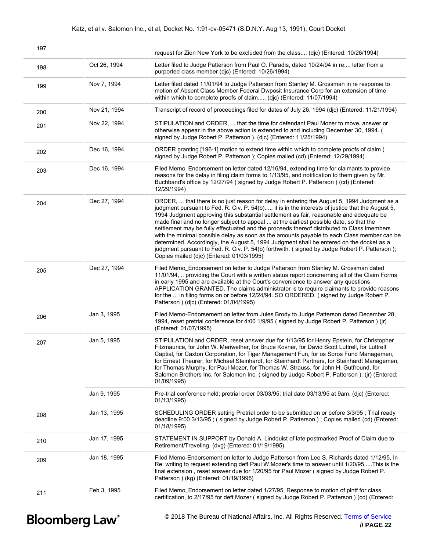| 197 |              | request for Zion New York to be excluded from the class (djc) (Entered: 10/26/1994)                                                                                                                                                                                                                                                                                                                                                                                                                                                                                                                                                                                                                                                                                                                                      |
|-----|--------------|--------------------------------------------------------------------------------------------------------------------------------------------------------------------------------------------------------------------------------------------------------------------------------------------------------------------------------------------------------------------------------------------------------------------------------------------------------------------------------------------------------------------------------------------------------------------------------------------------------------------------------------------------------------------------------------------------------------------------------------------------------------------------------------------------------------------------|
| 198 | Oct 26, 1994 | Letter filed to Judge Patterson from Paul O. Paradis, dated 10/24/94 in re letter from a<br>purported class member (djc) (Entered: 10/26/1994)                                                                                                                                                                                                                                                                                                                                                                                                                                                                                                                                                                                                                                                                           |
| 199 | Nov 7, 1994  | Letter filed dated 11/01/94 to Judge Patterson from Stanley M. Grossman in re response to<br>motion of Absent Class Member Federal Dwposit Insurance Corp for an extension of time<br>within which to complete proofs of claim (djc) (Entered: 11/07/1994)                                                                                                                                                                                                                                                                                                                                                                                                                                                                                                                                                               |
| 200 | Nov 21, 1994 | Transcript of record of proceedings filed for dates of July 26, 1994 (djc) (Entered: 11/21/1994)                                                                                                                                                                                                                                                                                                                                                                                                                                                                                                                                                                                                                                                                                                                         |
| 201 | Nov 22, 1994 | STIPULATION and ORDER,  that the time for defendant Paul Mozer to move, answer or<br>otherwise appear in the above action is extended to and including December 30, 1994. (<br>signed by Judge Robert P. Patterson ). (dic) (Entered: 11/25/1994)                                                                                                                                                                                                                                                                                                                                                                                                                                                                                                                                                                        |
| 202 | Dec 16, 1994 | ORDER granting [196-1] motion to extend time within which to complete proofs of claim (<br>signed by Judge Robert P. Patterson ); Copies mailed (cd) (Entered: 12/29/1994)                                                                                                                                                                                                                                                                                                                                                                                                                                                                                                                                                                                                                                               |
| 203 | Dec 16, 1994 | Filed Memo_Endorsement on letter dated 12/16/94, extending time for claimants to provide<br>reasons for the delay in filing claim forms to 1/13/95, and notification to them given by Mr.<br>Buchband's office by 12/27/94 (signed by Judge Robert P. Patterson) (cd) (Entered:<br>12/29/1994)                                                                                                                                                                                                                                                                                                                                                                                                                                                                                                                           |
| 204 | Dec 27, 1994 | ORDER,  that there is no just reason for delay in entering the August 5, 1994 Judgment as a<br>judgment pursuant to Fed. R. Civ. P. 54(b) it is in the interests of justice that the August 5,<br>1994 Judgment approving this substantial settlement as fair, reasonable and adequate be<br>made final and no longer subject to appeal  at the earliest possible date, so that the<br>settlement may be fully effectuated and the proceeds thereof distributed to Class Imembers<br>with the minimal possible delay as soon as the amounts payable to each Class member can be<br>determined. Accordingly, the August 5, 1994 Judgment shall be entered on the docket as a<br>judgment pursuant to Fed. R. Civ. P. 54(b) forthwith. (signed by Judge Robert P. Patterson);<br>Copies mailed (djc) (Entered: 01/03/1995) |
| 205 | Dec 27, 1994 | Filed Memo_Endorsement on letter to Judge Patterson from Stanley M. Grossman dated<br>11/01/94,  providing the Court with a written status report concnerning all of the Claim Forms<br>in early 1995 and are available at the Court's convenience to answer any questions<br>APPLICATION GRANTED. The claims administrator is to require claimants to provide reasons<br>for the  in filing forms on or before 12/24/94. SO ORDERED. (signed by Judge Robert P.<br>Patterson ) (djc) (Entered: 01/04/1995)                                                                                                                                                                                                                                                                                                              |
| 206 | Jan 3, 1995  | Filed Memo-Endorsement on letter from Jules Brody to Judge Patterson dated December 28,<br>1994, reset pretrial conference for 4:00 1/9/95 (signed by Judge Robert P. Patterson) (jr)<br>(Entered: 01/07/1995)                                                                                                                                                                                                                                                                                                                                                                                                                                                                                                                                                                                                           |
| 207 | Jan 5, 1995  | STIPULATION and ORDER, reset answer due for 1/13/95 for Henry Epstein, for Christopher<br>Fitzmaurice, for John W. Meriwether, for Bruce Kovner, for David Scott Luttrell, for Luttrell<br>Captial, for Caxton Corporation, for Tiger Management Fun, for os Soros Fund Managemen,<br>for Ernest Theurer, for Michael Steinhardt, for Steinhardt Partners, for Steinhardt Managemen,<br>for Thomas Murphy, for Paul Mozer, for Thomas W. Strauss, for John H. Gutfreund, for<br>Salomon Brothers Inc, for Salomon Inc. (signed by Judge Robert P. Patterson). (ir) (Entered:<br>01/09/1995)                                                                                                                                                                                                                              |
|     | Jan 9, 1995  | Pre-trial conference held; pretrial order 03/03/95; trial date 03/13/95 at 9am. (djc) (Entered:<br>01/13/1995)                                                                                                                                                                                                                                                                                                                                                                                                                                                                                                                                                                                                                                                                                                           |
| 208 | Jan 13, 1995 | SCHEDULING ORDER setting Pretrial order to be submitted on or before 3/3/95; Trial ready<br>deadline 9:00 3/13/95; (signed by Judge Robert P. Patterson); Copies mailed (cd) (Entered:<br>01/18/1995)                                                                                                                                                                                                                                                                                                                                                                                                                                                                                                                                                                                                                    |
| 210 | Jan 17, 1995 | STATEMENT IN SUPPORT by Donald A. Lindquist of late postmarked Proof of Claim due to<br>Retirement/Traveling. (dvg) (Entered: 01/19/1995)                                                                                                                                                                                                                                                                                                                                                                                                                                                                                                                                                                                                                                                                                |
| 209 | Jan 18, 1995 | Filed Memo-Endorsement on letter to Judge Patterson from Lee S. Richards dated 1/12/95, In<br>Re: writing to request extending deft Paul W.Mozer's time to answer until 1/20/95This is the<br>final extension, reset answer due for 1/20/95 for Paul Mozer (signed by Judge Robert P.<br>Patterson ) (kg) (Entered: 01/19/1995)                                                                                                                                                                                                                                                                                                                                                                                                                                                                                          |
| 211 | Feb 3, 1995  | Filed Memo_Endorsement on letter dated 1/27/95, Response to motion of plntf for class<br>certification, to 2/17/95 for deft Mozer (signed by Judge Robert P. Patterson) (cd) (Entered:                                                                                                                                                                                                                                                                                                                                                                                                                                                                                                                                                                                                                                   |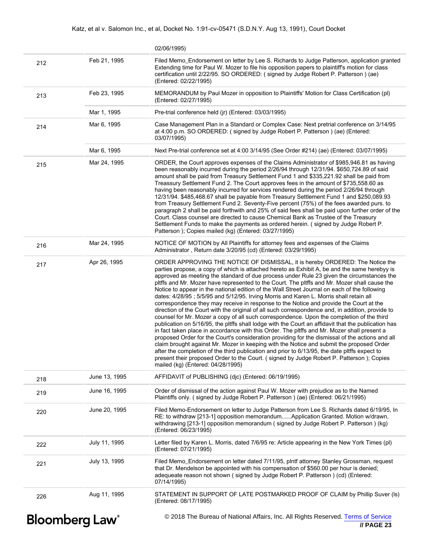|     |                                   | 02/06/1995)                                                                                                                                                                                                                                                                                                                                                                                                                                                                                                                                                                                                                                                                                                                                                                                                                                                                                                                                                                                                                                                                                                                                                                                                                                                                                                                                                                                                                                                                                            |
|-----|-----------------------------------|--------------------------------------------------------------------------------------------------------------------------------------------------------------------------------------------------------------------------------------------------------------------------------------------------------------------------------------------------------------------------------------------------------------------------------------------------------------------------------------------------------------------------------------------------------------------------------------------------------------------------------------------------------------------------------------------------------------------------------------------------------------------------------------------------------------------------------------------------------------------------------------------------------------------------------------------------------------------------------------------------------------------------------------------------------------------------------------------------------------------------------------------------------------------------------------------------------------------------------------------------------------------------------------------------------------------------------------------------------------------------------------------------------------------------------------------------------------------------------------------------------|
| 212 | Feb 21, 1995                      | Filed Memo_Endorsement on letter by Lee S. Richards to Judge Patterson, application granted<br>Extending time for Paul W. Mozer to file his opposition papers to plaintiff's motion for class<br>certification until 2/22/95. SO ORDERED: (signed by Judge Robert P. Patterson) (ae)<br>(Entered: 02/22/1995)                                                                                                                                                                                                                                                                                                                                                                                                                                                                                                                                                                                                                                                                                                                                                                                                                                                                                                                                                                                                                                                                                                                                                                                          |
| 213 | Feb 23, 1995                      | MEMORANDUM by Paul Mozer in opposition to Plaintiffs' Motion for Class Certification (pl)<br>(Entered: 02/27/1995)                                                                                                                                                                                                                                                                                                                                                                                                                                                                                                                                                                                                                                                                                                                                                                                                                                                                                                                                                                                                                                                                                                                                                                                                                                                                                                                                                                                     |
|     | Mar 1, 1995                       | Pre-trial conference held (jr) (Entered: 03/03/1995)                                                                                                                                                                                                                                                                                                                                                                                                                                                                                                                                                                                                                                                                                                                                                                                                                                                                                                                                                                                                                                                                                                                                                                                                                                                                                                                                                                                                                                                   |
| 214 | Mar 6, 1995                       | Case Management Plan in a Standard or Complex Case: Next pretrial conference on 3/14/95<br>at 4:00 p.m. SO ORDERED: (signed by Judge Robert P. Patterson) (ae) (Entered:<br>03/07/1995)                                                                                                                                                                                                                                                                                                                                                                                                                                                                                                                                                                                                                                                                                                                                                                                                                                                                                                                                                                                                                                                                                                                                                                                                                                                                                                                |
|     | Mar 6, 1995                       | Next Pre-trial conference set at 4:00 3/14/95 (See Order #214) (ae) (Entered: 03/07/1995)                                                                                                                                                                                                                                                                                                                                                                                                                                                                                                                                                                                                                                                                                                                                                                                                                                                                                                                                                                                                                                                                                                                                                                                                                                                                                                                                                                                                              |
| 215 | Mar 24, 1995                      | ORDER, the Court approves expenses of the Claims Administrator of \$985,946.81 as having<br>been reasonably incurred during the period 2/26/94 through 12/31/94. \$650,724.89 of said<br>amount shall be paid from Treasury Settlement Fund 1 and \$335,221.92 shall be paid from<br>Treassury Settlement Fund 2. The Court approves fees in the amount of \$735,558.60 as<br>having been reasonably incurred for services rendered during the period 2/26/94 through<br>12/31/94. \$485,468.67 shall be payable from Treasury Settlement Fund 1 and \$250,089.93<br>from Treasury Settlement Fund 2. Seventy-Five percent (75%) of the fees awarded purs. to<br>paragraph 2 shall be paid forthwith and 25% of said fees shall be paid upon further order of the<br>Court. Class counsel are directed to cause Chemical Bank as Trustee of the Treasury<br>Settlement Funds to make the payments as ordered herein. (signed by Judge Robert P.<br>Patterson); Copies mailed (kg) (Entered: 03/27/1995)                                                                                                                                                                                                                                                                                                                                                                                                                                                                                                |
| 216 | Mar 24, 1995                      | NOTICE OF MOTION by All Plaintiffs for attorney fees and expenses of the Claims<br>Administrator, Return date 3/20/95 (cd) (Entered: 03/29/1995)                                                                                                                                                                                                                                                                                                                                                                                                                                                                                                                                                                                                                                                                                                                                                                                                                                                                                                                                                                                                                                                                                                                                                                                                                                                                                                                                                       |
| 217 | Apr 26, 1995                      | ORDER APPROVING THE NOTICE OF DISMISSAL, it is hereby ORDERED: The Notice the<br>parties propose, a copy of which is attached hereto as Exhibit A, be and the same herebyy is<br>approved as meeting the standard of due process under Rule 23 given the circumstances the<br>pltffs and Mr. Mozer have represented to the Court. The pltffs and Mr. Mozer shall cause the<br>Notice to appear in the national edition of the Wall Street Journal on each of the following<br>dates: 4/28/95; 5/5/95 and 5/12/95. Irving Morris and Karen L. Morris shall retain all<br>correspondence they may receive in response to the Notice and provide the Court at the<br>direction of the Court with the original of all such correspondence and, in addition, provide to<br>counsel for Mr. Mozer a copy of all such correspondence. Upon the completion of the third<br>publication on 5/16/95, the pltffs shall lodge with the Court an affidavit that the publication has<br>in fact taken place in accordance with this Order. The pltffs and Mr. Mozer shall present a<br>proposed Order for the Court's consideration providing for the dismissal of the actions and all<br>claim brought against Mr. Mozer in keeping with the Notice and submit the proposed Order<br>after the completion of the third publication and prior to 6/13/95, the date pltffs expect to<br>present their proposed Order to the Court. (signed by Judge Robert P. Patterson); Copies<br>mailed (kg) (Entered: 04/28/1995) |
| 218 | June 13, 1995                     | AFFIDAVIT of PUBLISHING (djc) (Entered: 06/19/1995)                                                                                                                                                                                                                                                                                                                                                                                                                                                                                                                                                                                                                                                                                                                                                                                                                                                                                                                                                                                                                                                                                                                                                                                                                                                                                                                                                                                                                                                    |
| 219 | June 16, 1995                     | Order of dismissal of the action against Paul W. Mozer with prejudice as to the Named<br>Plaintiffs only. (signed by Judge Robert P. Patterson) (ae) (Entered: 06/21/1995)                                                                                                                                                                                                                                                                                                                                                                                                                                                                                                                                                                                                                                                                                                                                                                                                                                                                                                                                                                                                                                                                                                                                                                                                                                                                                                                             |
| 220 | June 20, 1995                     | Filed Memo-Endorsement on letter to Judge Patterson from Lee S. Richards dated 6/19/95, In<br>RE: to withdraw [213-1] opposition memorandumApplication Granted. Motion w/drawn,<br>withdrawing [213-1] opposition memorandum (signed by Judge Robert P. Patterson) (kg)<br>(Entered: 06/23/1995)                                                                                                                                                                                                                                                                                                                                                                                                                                                                                                                                                                                                                                                                                                                                                                                                                                                                                                                                                                                                                                                                                                                                                                                                       |
| 222 | July 11, 1995                     | Letter filed by Karen L. Morris, dated 7/6/95 re: Article appearing in the New York Times (pl)<br>(Entered: 07/21/1995)                                                                                                                                                                                                                                                                                                                                                                                                                                                                                                                                                                                                                                                                                                                                                                                                                                                                                                                                                                                                                                                                                                                                                                                                                                                                                                                                                                                |
| 221 | July 13, 1995                     | Filed Memo_Endorsement on letter dated 7/11/95, pintf attorney Stanley Grossman, request<br>that Dr. Mendelson be appointed with his compensation of \$560.00 per hour is denied;<br>adequeate reason not shown (signed by Judge Robert P. Patterson) (cd) (Entered:<br>07/14/1995)                                                                                                                                                                                                                                                                                                                                                                                                                                                                                                                                                                                                                                                                                                                                                                                                                                                                                                                                                                                                                                                                                                                                                                                                                    |
| 226 | Aug 11, 1995                      | STATEMENT IN SUPPORT OF LATE POSTMARKED PROOF OF CLAIM by Phillip Suver (Is)<br>(Entered: 08/17/1995)                                                                                                                                                                                                                                                                                                                                                                                                                                                                                                                                                                                                                                                                                                                                                                                                                                                                                                                                                                                                                                                                                                                                                                                                                                                                                                                                                                                                  |
|     | <b>Bloomberg Law</b> <sup>®</sup> | © 2018 The Bureau of National Affairs, Inc. All Rights Reserved. Terms of Service<br>// PAGE 23                                                                                                                                                                                                                                                                                                                                                                                                                                                                                                                                                                                                                                                                                                                                                                                                                                                                                                                                                                                                                                                                                                                                                                                                                                                                                                                                                                                                        |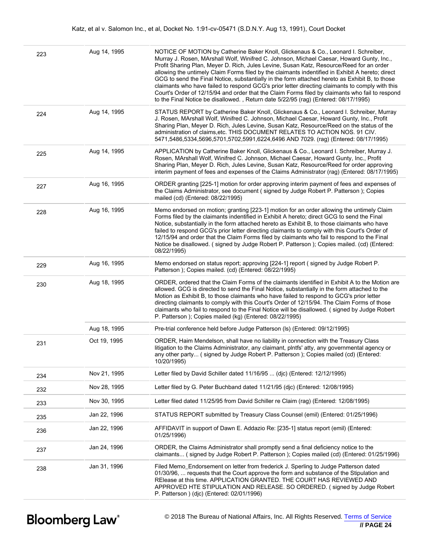| 223 | Aug 14, 1995 | NOTICE OF MOTION by Catherine Baker Knoll, Glickenaus & Co., Leonard I. Schreiber,<br>Murray J. Rosen, MArshall Wolf, Winifred C. Johnson, Michael Caesar, Howard Gunty, Inc.,<br>Profit Sharing Plan, Meyer D. Rich, Jules Levine, Susan Katz, Resource/Reed for an order<br>allowing the untimely Claim Forms filed by the claimants indentified in Exhibit A hereto; direct<br>GCG to send the Final Notice, substantially in the form attached hereto as Exhibit B, to those<br>claimants who have failed to respond GCG's prior letter directing claimants to comply with this<br>Court's Order of 12/15/94 and order that the Claim Forms filed by claimants who fail to respond<br>to the Final Notice be disallowed., Return date 5/22/95 (rag) (Entered: 08/17/1995) |
|-----|--------------|-------------------------------------------------------------------------------------------------------------------------------------------------------------------------------------------------------------------------------------------------------------------------------------------------------------------------------------------------------------------------------------------------------------------------------------------------------------------------------------------------------------------------------------------------------------------------------------------------------------------------------------------------------------------------------------------------------------------------------------------------------------------------------|
| 224 | Aug 14, 1995 | STATUS REPORT by Catherine Baker Knoll, Glickenaus & Co., Leonard I. Schreiber, Murray<br>J. Rosen, MArshall Wolf, Winifred C. Johnson, Michael Caesar, Howard Gunty, Inc., Profit<br>Sharing Plan, Meyer D. Rich, Jules Levine, Susan Katz, Resource/Reed on the status of the<br>administration of claims, etc. THIS DOCUMENT RELATES TO ACTION NOS. 91 CIV.<br>5471,5486,5334,5696,5701,5702,5991,6224,6496 AND 7029. (rag) (Entered: 08/17/1995)                                                                                                                                                                                                                                                                                                                          |
| 225 | Aug 14, 1995 | APPLICATION by Catherine Baker Knoll, Glickenaus & Co., Leonard I. Schreiber, Murray J.<br>Rosen, MArshall Wolf, Winifred C. Johnson, Michael Caesar, Howard Gunty, Inc., Profit<br>Sharing Plan, Meyer D. Rich, Jules Levine, Susan Katz, Resource/Reed for order approving<br>interim payment of fees and expenses of the Claims Administrator (rag) (Entered: 08/17/1995)                                                                                                                                                                                                                                                                                                                                                                                                  |
| 227 | Aug 16, 1995 | ORDER granting [225-1] motion for order approving interim payment of fees and expenses of<br>the Claims Administrator, see document (signed by Judge Robert P. Patterson); Copies<br>mailed (cd) (Entered: 08/22/1995)                                                                                                                                                                                                                                                                                                                                                                                                                                                                                                                                                        |
| 228 | Aug 16, 1995 | Memo endorsed on motion; granting [223-1] motion for an order allowing the untimely Claim<br>Forms filed by the claimants indentified in Exhibit A hereto; direct GCG to send the Final<br>Notice, substantially in the form attached hereto as Exhibit B, to those claimants who have<br>failed to respond GCG's prior letter directing claimants to comply with this Court's Order of<br>12/15/94 and order that the Claim Forms filed by claimants who fail to respond to the Final<br>Notice be disallowed. (signed by Judge Robert P. Patterson); Copies mailed. (cd) (Entered:<br>08/22/1995)                                                                                                                                                                           |
| 229 | Aug 16, 1995 | Memo endorsed on status report; approving [224-1] report (signed by Judge Robert P.<br>Patterson ); Copies mailed. (cd) (Entered: 08/22/1995)                                                                                                                                                                                                                                                                                                                                                                                                                                                                                                                                                                                                                                 |
| 230 | Aug 18, 1995 | ORDER, ordered that the Claim Forms of the claimants identified in Exhibit A to the Motion are<br>allowed. GCG is directed to send the Final Notice, substantially in the form attached to the<br>Motion as Exhibit B, to those claimants who have failed to respond to GCG's prior letter<br>directing claimants to comply with this Court's Order of 12/15/94. The Claim Forms of those<br>claimants who fail to respond to the Final Notice will be disallowed. (signed by Judge Robert<br>P. Patterson); Copies mailed (kg) (Entered: 08/22/1995)                                                                                                                                                                                                                         |
|     | Aug 18, 1995 | Pre-trial conference held before Judge Patterson (Is) (Entered: 09/12/1995)                                                                                                                                                                                                                                                                                                                                                                                                                                                                                                                                                                                                                                                                                                   |
| 231 | Oct 19, 1995 | ORDER, Haim Mendelson, shall have no liability in connection with the Treasury Class<br>litigation to the Claims Administrator, any claimant, plntfs' atty, any governmental agency or<br>any other party (signed by Judge Robert P. Patterson); Copies mailed (cd) (Entered:<br>10/20/1995)                                                                                                                                                                                                                                                                                                                                                                                                                                                                                  |
| 234 | Nov 21, 1995 | Letter filed by David Schiller dated 11/16/95  (dic) (Entered: 12/12/1995)                                                                                                                                                                                                                                                                                                                                                                                                                                                                                                                                                                                                                                                                                                    |
| 232 | Nov 28, 1995 | Letter filed by G. Peter Buchband dated 11/21/95 (djc) (Entered: 12/08/1995)                                                                                                                                                                                                                                                                                                                                                                                                                                                                                                                                                                                                                                                                                                  |
| 233 | Nov 30, 1995 | Letter filed dated 11/25/95 from David Schiller re Claim (rag) (Entered: 12/08/1995)                                                                                                                                                                                                                                                                                                                                                                                                                                                                                                                                                                                                                                                                                          |
| 235 | Jan 22, 1996 | STATUS REPORT submitted by Treasury Class Counsel (emil) (Entered: 01/25/1996)                                                                                                                                                                                                                                                                                                                                                                                                                                                                                                                                                                                                                                                                                                |
| 236 | Jan 22, 1996 | AFFIDAVIT in support of Dawn E. Addazio Re: [235-1] status report (emil) (Entered:<br>01/25/1996)                                                                                                                                                                                                                                                                                                                                                                                                                                                                                                                                                                                                                                                                             |
| 237 | Jan 24, 1996 | ORDER, the Claims Administrator shall promptly send a final deficiency notice to the<br>claimants (signed by Judge Robert P. Patterson); Copies mailed (cd) (Entered: 01/25/1996)                                                                                                                                                                                                                                                                                                                                                                                                                                                                                                                                                                                             |
| 238 | Jan 31, 1996 | Filed Memo_Endorsement on letter from frederick J. Sperling to Judge Patterson dated<br>01/30/96,  requests that the Court approve the form and substance of the Stipulation and<br>RElease at this time. APPLICATION GRANTED. THE COURT HAS REVIEWED AND<br>APPROVED HTE STIPULATION AND RELEASE. SO ORDERED. (signed by Judge Robert<br>P. Patterson ) (djc) (Entered: 02/01/1996)                                                                                                                                                                                                                                                                                                                                                                                          |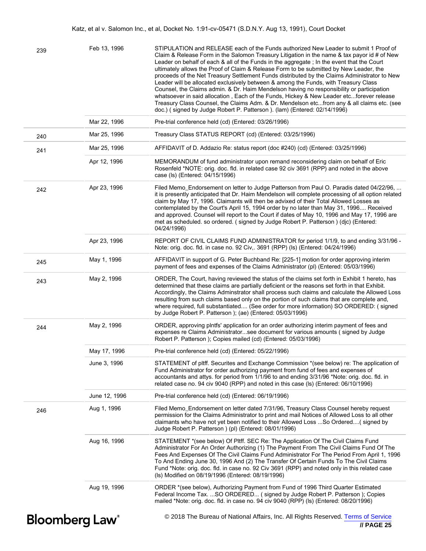| 239                               | Feb 13, 1996  | STIPULATION and RELEASE each of the Funds authorized New Leader to submit 1 Proof of<br>Claim & Release Form in the Salomon Treasury Litigation in the name & tax payor id # of New<br>Leader on behalf of each & all of the Funds in the aggregate; In the event that the Court<br>ultimately allows the Proof of Claim & Release Form to be submitted by New Leader, the<br>proceeds of the Net Treasury Settlement Funds distributed by the Claims Administrator to New<br>Leader will be allocated exclusively between & among the Funds, with Treasury Class<br>Counsel, the Claims admin. & Dr. Haim Mendelson having no responsibility or participation<br>whatsoever in said allocation, Each of the Funds, Hickey & New Leader etcforever release<br>Treasury Class Counsel, the Claims Adm. & Dr. Mendelson etcfrom any & all claims etc. (see<br>doc.) (signed by Judge Robert P. Patterson ). (lam) (Entered: 02/14/1996) |
|-----------------------------------|---------------|---------------------------------------------------------------------------------------------------------------------------------------------------------------------------------------------------------------------------------------------------------------------------------------------------------------------------------------------------------------------------------------------------------------------------------------------------------------------------------------------------------------------------------------------------------------------------------------------------------------------------------------------------------------------------------------------------------------------------------------------------------------------------------------------------------------------------------------------------------------------------------------------------------------------------------------|
|                                   | Mar 22, 1996  | Pre-trial conference held (cd) (Entered: 03/26/1996)                                                                                                                                                                                                                                                                                                                                                                                                                                                                                                                                                                                                                                                                                                                                                                                                                                                                                  |
| 240                               | Mar 25, 1996  | Treasury Class STATUS REPORT (cd) (Entered: 03/25/1996)                                                                                                                                                                                                                                                                                                                                                                                                                                                                                                                                                                                                                                                                                                                                                                                                                                                                               |
| 241                               | Mar 25, 1996  | AFFIDAVIT of D. Addazio Re: status report (doc #240) (cd) (Entered: 03/25/1996)                                                                                                                                                                                                                                                                                                                                                                                                                                                                                                                                                                                                                                                                                                                                                                                                                                                       |
|                                   | Apr 12, 1996  | MEMORANDUM of fund administrator upon remand reconsidering claim on behalf of Eric<br>Rosenfeld *NOTE: orig. doc. fld. in related case 92 civ 3691 (RPP) and noted in the above<br>case (ls) (Entered: 04/15/1996)                                                                                                                                                                                                                                                                                                                                                                                                                                                                                                                                                                                                                                                                                                                    |
| 242                               | Apr 23, 1996  | Filed Memo_Endorsement on letter to Judge Patterson from Paul O. Paradis dated 04/22/96,<br>it is presently anticipated that Dr. Haim Mendelson will complete processing of all option related<br>claim by May 17, 1996. Claimants will then be advixed of their Total Allowed Losses as<br>contemplated by the Court's April 15, 1994 order by no later than May 31, 1996 Received<br>and approved. Counsel will report to the Court if dates of May 10, 1996 and May 17, 1996 are<br>met as scheduled. so ordered. (signed by Judge Robert P. Patterson) (djc) (Entered:<br>04/24/1996)                                                                                                                                                                                                                                                                                                                                             |
|                                   | Apr 23, 1996  | REPORT OF CIVIL CLAIMS FUND ADMINISTRATOR for period 1/1/9, to and ending 3/31/96 -<br>Note: orig. doc. fld. in case no. 92 Civ,. 3691 (RPP) (ls) (Entered: 04/24/1996)                                                                                                                                                                                                                                                                                                                                                                                                                                                                                                                                                                                                                                                                                                                                                               |
| 245                               | May 1, 1996   | AFFIDAVIT in support of G. Peter Buchband Re: [225-1] motion for order approving interim<br>payment of fees and expenses of the Claims Administrator (pl) (Entered: 05/03/1996)                                                                                                                                                                                                                                                                                                                                                                                                                                                                                                                                                                                                                                                                                                                                                       |
| 243                               | May 2, 1996   | ORDER, The Court, having reviewed the status of the claims set forth in Exhibit 1 hereto, has<br>determined that these claims are partially deficient or the reasons set forth in that Exhibit.<br>Accordingly, the Claims Adminstrator shall process such claims and calculate the Allowed Loss<br>resulting from such claims based only on the portion of such claims that are complete and,<br>where required, full substantiated (See order for more information) SO ORDERED: (signed<br>by Judge Robert P. Patterson ); (ae) (Entered: 05/03/1996)                                                                                                                                                                                                                                                                                                                                                                               |
| 244                               | May 2, 1996   | ORDER, approving plntfs' application for an order authorizing interim payment of fees and<br>expenses re Claims Administratorsee document for various amounts (signed by Judge<br>Robert P. Patterson ); Copies mailed (cd) (Entered: 05/03/1996)                                                                                                                                                                                                                                                                                                                                                                                                                                                                                                                                                                                                                                                                                     |
|                                   | May 17, 1996  | Pre-trial conference held (cd) (Entered: 05/22/1996)                                                                                                                                                                                                                                                                                                                                                                                                                                                                                                                                                                                                                                                                                                                                                                                                                                                                                  |
|                                   | June 3, 1996  | STATEMENT of pltff. Securites and Exchange Commission *(see below) re: The application of<br>Fund Administrator for order authorizing payment from fund of fees and expenses of<br>accountants and attys. for period from 1/1/96 to and ending 3/31/96 *Note: orig. doc. fld. in<br>related case no. 94 civ 9040 (RPP) and noted in this case (ls) (Entered: 06/10/1996)                                                                                                                                                                                                                                                                                                                                                                                                                                                                                                                                                              |
|                                   | June 12, 1996 | Pre-trial conference held (cd) (Entered: 06/19/1996)                                                                                                                                                                                                                                                                                                                                                                                                                                                                                                                                                                                                                                                                                                                                                                                                                                                                                  |
| 246                               | Aug 1, 1996   | Filed Memo_Endorsement on letter dated 7/31/96, Treasury Class Counsel hereby request<br>permission for the Claims Administrator to print and mail Notices of Allowed Loss to all other<br>claimants who have not yet been notified to their Allowed Loss So Ordered( signed by<br>Judge Robert P. Patterson ) (pl) (Entered: 08/01/1996)                                                                                                                                                                                                                                                                                                                                                                                                                                                                                                                                                                                             |
|                                   | Aug 16, 1996  | STATEMENT *(see below) Of Pltff. SEC Re: The Application Of The Civil Claims Fund<br>Administrator For An Order Authorizing (1) The Payment From The Civil Claims Fund Of The<br>Fees And Expenses Of The Civil Claims Fund Administrator For The Period From April 1, 1996<br>To And Ending June 30, 1996 And (2) The Transfer Of Certain Funds To The Civil Claims<br>Fund *Note: orig. doc. fld. in case no. 92 Civ 3691 (RPP) and noted only in this related case<br>(Is) Modified on 08/19/1996 (Entered: 08/19/1996)                                                                                                                                                                                                                                                                                                                                                                                                            |
|                                   | Aug 19, 1996  | ORDER *(see below), Authorizing Payment from Fund of 1996 Third Quarter Estimated<br>Federal Income Tax. SO ORDERED (signed by Judge Robert P. Patterson); Copies<br>mailed *Note: orig. doc. fld. in case no. 94 civ 9040 (RPP) (ls) (Entered: 08/20/1996)                                                                                                                                                                                                                                                                                                                                                                                                                                                                                                                                                                                                                                                                           |
| <b>Bloomberg Law</b> <sup>®</sup> |               | © 2018 The Bureau of National Affairs, Inc. All Rights Reserved. Terms of Service<br>// PAGE 25                                                                                                                                                                                                                                                                                                                                                                                                                                                                                                                                                                                                                                                                                                                                                                                                                                       |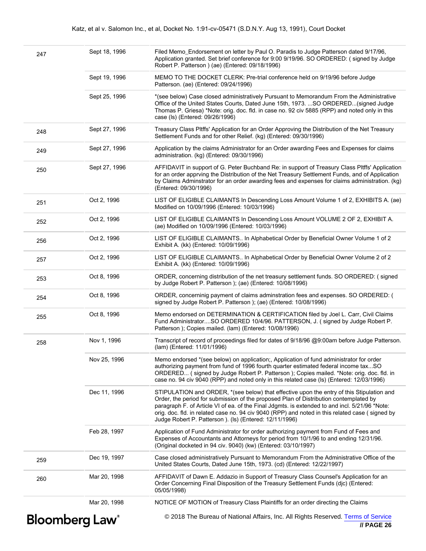| <b>Bloomberg Law</b> <sup>®</sup> |               | © 2018 The Bureau of National Affairs, Inc. All Rights Reserved. Terms of Service<br>$\textit{II}$ PAGE 26                                                                                                                                                                                                                                                                                                                                         |
|-----------------------------------|---------------|----------------------------------------------------------------------------------------------------------------------------------------------------------------------------------------------------------------------------------------------------------------------------------------------------------------------------------------------------------------------------------------------------------------------------------------------------|
|                                   | Mar 20, 1998  | NOTICE OF MOTION of Treasury Class Plaintiffs for an order directing the Claims                                                                                                                                                                                                                                                                                                                                                                    |
| 260                               | Mar 20, 1998  | AFFIDAVIT of Dawn E. Addazio in Support of Treasury Class Counsel's Application for an<br>Order Concerning Final Disposition of the Treasury Settlement Funds (djc) (Entered:<br>05/05/1998)                                                                                                                                                                                                                                                       |
| 259                               | Dec 19, 1997  | Case closed administratively Pursuant to Memorandum From the Administrative Office of the<br>United States Courts, Dated June 15th, 1973. (cd) (Entered: 12/22/1997)                                                                                                                                                                                                                                                                               |
|                                   | Feb 28, 1997  | Application of Fund Administrator for order authorizing payment from Fund of Fees and<br>Expenses of Accountants and Attorneys for period from 10/1/96 to and ending 12/31/96.<br>(Original docketed in 94 civ. 9040) (kw) (Entered: 03/10/1997)                                                                                                                                                                                                   |
|                                   | Dec 11, 1996  | STIPULATION and ORDER, *(see below) that effective upon the entry of this Stipulation and<br>Order, the period for submission of the proposed Plan of Distribution contemplated by<br>paragraph F. of Article VI of ea. of the Final Jdgmts. is extended to and incl. 5/21/96 *Note:<br>orig. doc. fld. in related case no. 94 civ 9040 (RPP) and noted in this related case (signed by<br>Judge Robert P. Patterson ). (Is) (Entered: 12/11/1996) |
|                                   | Nov 25, 1996  | Memo endorsed *(see below) on application;, Application of fund administrator for order<br>authorizing payment from fund of 1996 fourth quarter estimated federal income taxSO<br>ORDERED (signed by Judge Robert P. Patterson); Copies mailed. *Note: orig. doc. fld. in<br>case no. 94 civ 9040 (RPP) and noted only in this related case (Is) (Entered: 12/03/1996)                                                                             |
| 258                               | Nov 1, 1996   | Transcript of record of proceedings filed for dates of 9/18/96 @9:00am before Judge Patterson.<br>(lam) (Entered: 11/01/1996)                                                                                                                                                                                                                                                                                                                      |
| 255                               | Oct 8, 1996   | Memo endorsed on DETERMINATION & CERTIFICATION filed by Joel L. Carr, Civil Claims<br>Fund AdministratorSO ORDERED 10/4/96. PATTERSON, J. (signed by Judge Robert P.<br>Patterson); Copies mailed. (lam) (Entered: 10/08/1996)                                                                                                                                                                                                                     |
| 254                               | Oct 8, 1996   | ORDER, concerninig payment of claims adminstration fees and expenses. SO ORDERED: (<br>signed by Judge Robert P. Patterson ); (ae) (Entered: 10/08/1996)                                                                                                                                                                                                                                                                                           |
| 253                               | Oct 8, 1996   | ORDER, concerning distribution of the net treasury settlement funds. SO ORDERED: (signed<br>by Judge Robert P. Patterson ); (ae) (Entered: 10/08/1996)                                                                                                                                                                                                                                                                                             |
| 257                               | Oct 2, 1996   | LIST OF ELIGIBLE CLAIMANTS In Alphabetical Order by Beneficial Owner Volume 2 of 2<br>Exhibit A. (kk) (Entered: 10/09/1996)                                                                                                                                                                                                                                                                                                                        |
| 256                               | Oct 2, 1996   | LIST OF ELIGIBLE CLAIMANTS In Alphabetical Order by Beneficial Owner Volume 1 of 2<br>Exhibit A. (kk) (Entered: 10/09/1996)                                                                                                                                                                                                                                                                                                                        |
| 252                               | Oct 2, 1996   | LIST OF ELIGIBLE CLAIMANTS In Descending Loss Amount VOLUME 2 OF 2, EXHIBIT A.<br>(ae) Modified on 10/09/1996 (Entered: 10/03/1996)                                                                                                                                                                                                                                                                                                                |
| 251                               | Oct 2, 1996   | LIST OF ELIGIBLE CLAIMANTS In Descending Loss Amount Volume 1 of 2, EXHIBITS A. (ae)<br>Modified on 10/09/1996 (Entered: 10/03/1996)                                                                                                                                                                                                                                                                                                               |
| 250                               | Sept 27, 1996 | AFFIDAVIT in support of G. Peter Buchband Re: in support of Treasury Class Pltffs' Application<br>for an order apprving the Distribution of the Net Treasury Settlement Funds, and of Application<br>by Claims Adminstrator for an order awarding fees and expenses for claims administration. (kg)<br>(Entered: 09/30/1996)                                                                                                                       |
| 249                               | Sept 27, 1996 | Application by the claims Administrator for an Order awarding Fees and Expenses for claims<br>administration. (kg) (Entered: 09/30/1996)                                                                                                                                                                                                                                                                                                           |
| 248                               | Sept 27, 1996 | Treasury Class Pltffs' Application for an Order Approving the Distribution of the Net Treasury<br>Settlement Funds and for other Relief. (kg) (Entered: 09/30/1996)                                                                                                                                                                                                                                                                                |
|                                   | Sept 25, 1996 | *(see below) Case closed administratively Pursuant to Memorandum From the Administrative<br>Office of the United States Courts, Dated June 15th, 1973. SO ORDERED(signed Judge<br>Thomas P. Griesa) *Note: orig. doc. fld. in case no. 92 civ 5885 (RPP) and noted only in this<br>case (ls) (Entered: 09/26/1996)                                                                                                                                 |
|                                   | Sept 19, 1996 | MEMO TO THE DOCKET CLERK: Pre-trial conference held on 9/19/96 before Judge<br>Patterson. (ae) (Entered: 09/24/1996)                                                                                                                                                                                                                                                                                                                               |
| 247                               | Sept 18, 1996 | Filed Memo_Endorsement on letter by Paul O. Paradis to Judge Patterson dated 9/17/96,<br>Application granted. Set brief conference for 9:00 9/19/96. SO ORDERED: (signed by Judge<br>Robert P. Patterson ) (ae) (Entered: 09/18/1996)                                                                                                                                                                                                              |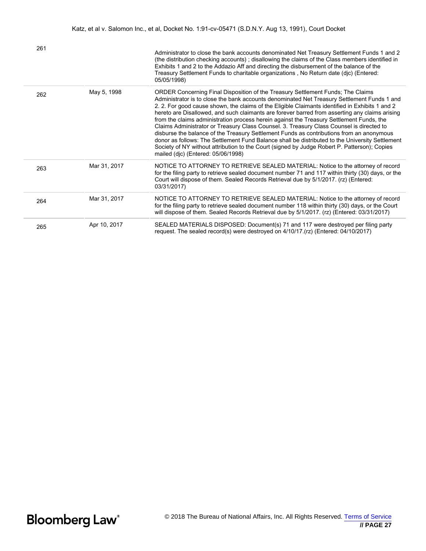| 261 |              | Administrator to close the bank accounts denominated Net Treasury Settlement Funds 1 and 2<br>(the distribution checking accounts); disallowing the claims of the Class members identified in<br>Exhibits 1 and 2 to the Addazio Aff and directing the disbursement of the balance of the<br>Treasury Settlement Funds to charitable organizations, No Return date (djc) (Entered:<br>05/05/1998)                                                                                                                                                                                                                                                                                                                                                                                                                                                                                                                |
|-----|--------------|------------------------------------------------------------------------------------------------------------------------------------------------------------------------------------------------------------------------------------------------------------------------------------------------------------------------------------------------------------------------------------------------------------------------------------------------------------------------------------------------------------------------------------------------------------------------------------------------------------------------------------------------------------------------------------------------------------------------------------------------------------------------------------------------------------------------------------------------------------------------------------------------------------------|
| 262 | May 5, 1998  | ORDER Concerning Final Disposition of the Treasury Settlement Funds; The Claims<br>Administrator is to close the bank accounts denominated Net Treasury Settlement Funds 1 and<br>2. 2. For good cause shown, the claims of the Eligible Claimants identified in Exhibits 1 and 2<br>hereto are Disallowed, and such claimants are forever barred from asserting any claims arising<br>from the claims administration process herein against the Treasury Settlement Funds, the<br>Claims Administrator or Treasury Class Counsel. 3. Treasury Class Counsel is directed to<br>disburse the balance of the Treasury Settlement Funds as contributions from an anonymous<br>donor as follows: The Settlement Fund Balance shall be distributed to the University Settlement<br>Society of NY without attribution to the Court (signed by Judge Robert P. Patterson); Copies<br>mailed (djc) (Entered: 05/06/1998) |
| 263 | Mar 31, 2017 | NOTICE TO ATTORNEY TO RETRIEVE SEALED MATERIAL: Notice to the attorney of record<br>for the filing party to retrieve sealed document number 71 and 117 within thirty (30) days, or the<br>Court will dispose of them. Sealed Records Retrieval due by 5/1/2017. (rz) (Entered:<br>03/31/2017)                                                                                                                                                                                                                                                                                                                                                                                                                                                                                                                                                                                                                    |
| 264 | Mar 31, 2017 | NOTICE TO ATTORNEY TO RETRIEVE SEALED MATERIAL: Notice to the attorney of record<br>for the filing party to retrieve sealed document number 118 within thirty (30) days, or the Court<br>will dispose of them. Sealed Records Retrieval due by 5/1/2017. (rz) (Entered: 03/31/2017)                                                                                                                                                                                                                                                                                                                                                                                                                                                                                                                                                                                                                              |
| 265 | Apr 10, 2017 | SEALED MATERIALS DISPOSED: Document(s) 71 and 117 were destroyed per filing party<br>request. The sealed record(s) were destroyed on 4/10/17.(rz) (Entered: 04/10/2017)                                                                                                                                                                                                                                                                                                                                                                                                                                                                                                                                                                                                                                                                                                                                          |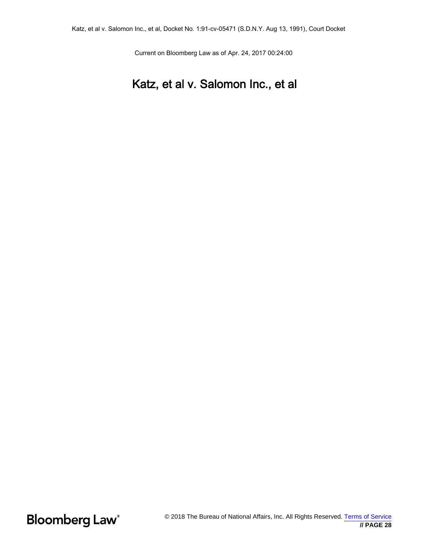Current on Bloomberg Law as of Apr. 24, 2017 00:24:00

## Katz, et al v. Salomon Inc., et al

**Bloomberg Law®**